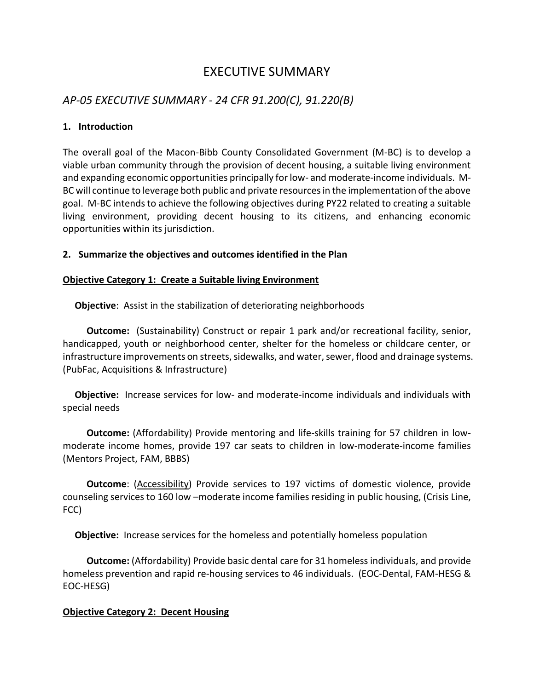# EXECUTIVE SUMMARY

### *AP-05 EXECUTIVE SUMMARY - 24 CFR 91.200(C), 91.220(B)*

#### **1. Introduction**

The overall goal of the Macon-Bibb County Consolidated Government (M-BC) is to develop a viable urban community through the provision of decent housing, a suitable living environment and expanding economic opportunities principally for low- and moderate-income individuals. M-BC will continue to leverage both public and private resources in the implementation of the above goal. M-BC intends to achieve the following objectives during PY22 related to creating a suitable living environment, providing decent housing to its citizens, and enhancing economic opportunities within its jurisdiction.

#### **2. Summarize the objectives and outcomes identified in the Plan**

#### **Objective Category 1: Create a Suitable living Environment**

 **Objective**: Assist in the stabilization of deteriorating neighborhoods

**Outcome:** (Sustainability) Construct or repair 1 park and/or recreational facility, senior, handicapped, youth or neighborhood center, shelter for the homeless or childcare center, or infrastructure improvements on streets, sidewalks, and water, sewer, flood and drainage systems. (PubFac, Acquisitions & Infrastructure)

 **Objective:** Increase services for low- and moderate-income individuals and individuals with special needs

 **Outcome:** (Affordability) Provide mentoring and life-skills training for 57 children in lowmoderate income homes, provide 197 car seats to children in low-moderate-income families (Mentors Project, FAM, BBBS)

**Outcome**: (Accessibility) Provide services to 197 victims of domestic violence, provide counseling services to 160 low –moderate income families residing in public housing, (Crisis Line, FCC)

 **Objective:** Increase services for the homeless and potentially homeless population

 **Outcome:** (Affordability) Provide basic dental care for 31 homeless individuals, and provide homeless prevention and rapid re-housing services to 46 individuals. (EOC-Dental, FAM-HESG & EOC-HESG)

### **Objective Category 2: Decent Housing**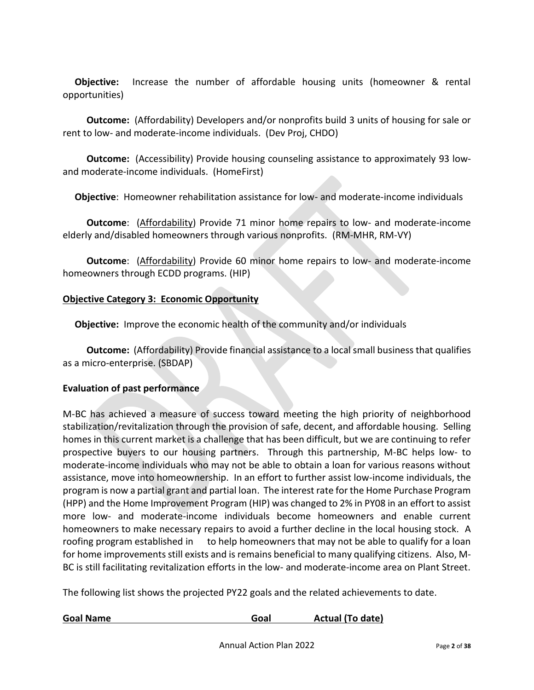**Objective:** Increase the number of affordable housing units (homeowner & rental opportunities)

 **Outcome:** (Affordability) Developers and/or nonprofits build 3 units of housing for sale or rent to low- and moderate-income individuals. (Dev Proj, CHDO)

 **Outcome:** (Accessibility) Provide housing counseling assistance to approximately 93 lowand moderate-income individuals. (HomeFirst)

 **Objective**: Homeowner rehabilitation assistance for low- and moderate-income individuals

 **Outcome**: (Affordability) Provide 71 minor home repairs to low- and moderate-income elderly and/disabled homeowners through various nonprofits. (RM-MHR, RM-VY)

 **Outcome**: (Affordability) Provide 60 minor home repairs to low- and moderate-income homeowners through ECDD programs. (HIP)

#### **Objective Category 3: Economic Opportunity**

 **Objective:** Improve the economic health of the community and/or individuals

 **Outcome:** (Affordability) Provide financial assistance to a local small business that qualifies as a micro-enterprise. (SBDAP)

#### **Evaluation of past performance**

M-BC has achieved a measure of success toward meeting the high priority of neighborhood stabilization/revitalization through the provision of safe, decent, and affordable housing. Selling homes in this current market is a challenge that has been difficult, but we are continuing to refer prospective buyers to our housing partners. Through this partnership, M-BC helps low- to moderate-income individuals who may not be able to obtain a loan for various reasons without assistance, move into homeownership. In an effort to further assist low-income individuals, the program is now a partial grant and partial loan. The interest rate for the Home Purchase Program (HPP) and the Home Improvement Program (HIP) was changed to 2% in PY08 in an effort to assist more low- and moderate-income individuals become homeowners and enable current homeowners to make necessary repairs to avoid a further decline in the local housing stock. A roofing program established in to help homeowners that may not be able to qualify for a loan for home improvements still exists and is remains beneficial to many qualifying citizens. Also, M-BC is still facilitating revitalization efforts in the low- and moderate-income area on Plant Street.

The following list shows the projected PY22 goals and the related achievements to date.

| <b>Goal Name</b> | Goal | Actual (To date) |
|------------------|------|------------------|
|                  |      |                  |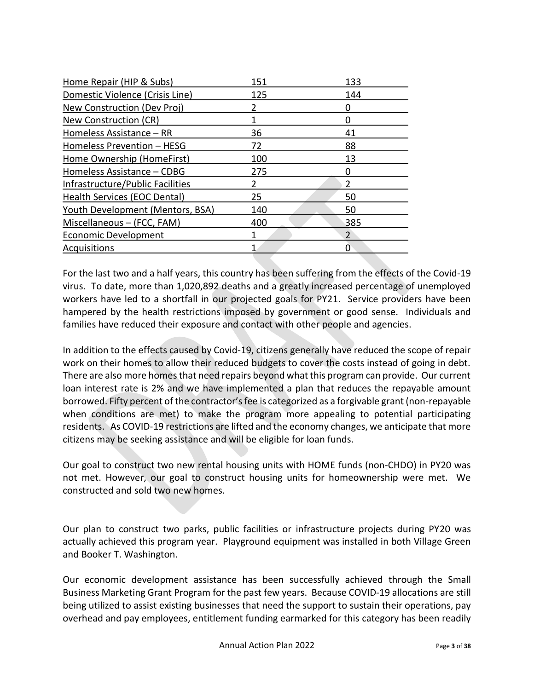| 151 | 133            |
|-----|----------------|
| 125 | 144            |
|     |                |
|     |                |
| 36  | 41             |
| 72  | 88             |
| 100 | 13             |
| 275 |                |
|     | 2              |
| 25  | 50             |
| 140 | 50             |
| 400 | 385            |
|     | $\mathfrak{p}$ |
|     |                |
|     |                |

For the last two and a half years, this country has been suffering from the effects of the Covid-19 virus. To date, more than 1,020,892 deaths and a greatly increased percentage of unemployed workers have led to a shortfall in our projected goals for PY21. Service providers have been hampered by the health restrictions imposed by government or good sense. Individuals and families have reduced their exposure and contact with other people and agencies.

In addition to the effects caused by Covid-19, citizens generally have reduced the scope of repair work on their homes to allow their reduced budgets to cover the costs instead of going in debt. There are also more homes that need repairs beyond what this program can provide. Our current loan interest rate is 2% and we have implemented a plan that reduces the repayable amount borrowed. Fifty percent of the contractor's fee is categorized as a forgivable grant (non-repayable when conditions are met) to make the program more appealing to potential participating residents. As COVID-19 restrictions are lifted and the economy changes, we anticipate that more citizens may be seeking assistance and will be eligible for loan funds.

Our goal to construct two new rental housing units with HOME funds (non-CHDO) in PY20 was not met. However, our goal to construct housing units for homeownership were met. We constructed and sold two new homes.

Our plan to construct two parks, public facilities or infrastructure projects during PY20 was actually achieved this program year. Playground equipment was installed in both Village Green and Booker T. Washington.

Our economic development assistance has been successfully achieved through the Small Business Marketing Grant Program for the past few years. Because COVID-19 allocations are still being utilized to assist existing businesses that need the support to sustain their operations, pay overhead and pay employees, entitlement funding earmarked for this category has been readily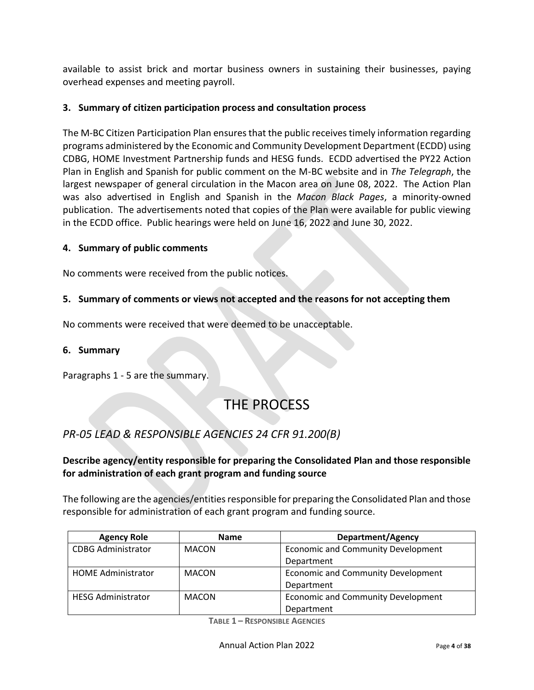available to assist brick and mortar business owners in sustaining their businesses, paying overhead expenses and meeting payroll.

### **3. Summary of citizen participation process and consultation process**

The M-BC Citizen Participation Plan ensures that the public receives timely information regarding programs administered by the Economic and Community Development Department (ECDD) using CDBG, HOME Investment Partnership funds and HESG funds. ECDD advertised the PY22 Action Plan in English and Spanish for public comment on the M-BC website and in *The Telegraph*, the largest newspaper of general circulation in the Macon area on June 08, 2022. The Action Plan was also advertised in English and Spanish in the *Macon Black Pages*, a minority-owned publication. The advertisements noted that copies of the Plan were available for public viewing in the ECDD office. Public hearings were held on June 16, 2022 and June 30, 2022.

#### **4. Summary of public comments**

No comments were received from the public notices.

#### **5. Summary of comments or views not accepted and the reasons for not accepting them**

No comments were received that were deemed to be unacceptable.

#### **6. Summary**

Paragraphs 1 - 5 are the summary.

# THE PROCESS

### *PR-05 LEAD & RESPONSIBLE AGENCIES 24 CFR 91.200(B)*

### **Describe agency/entity responsible for preparing the Consolidated Plan and those responsible for administration of each grant program and funding source**

The following are the agencies/entities responsible for preparing the Consolidated Plan and those responsible for administration of each grant program and funding source.

| <b>Agency Role</b>        | <b>Name</b>  | Department/Agency                         |
|---------------------------|--------------|-------------------------------------------|
| <b>CDBG Administrator</b> | <b>MACON</b> | <b>Economic and Community Development</b> |
|                           |              | Department                                |
| <b>HOME Administrator</b> | <b>MACON</b> | <b>Economic and Community Development</b> |
|                           |              | Department                                |
| <b>HESG Administrator</b> | <b>MACON</b> | <b>Economic and Community Development</b> |
|                           |              | Department                                |

**TABLE 1 – RESPONSIBLE AGENCIES**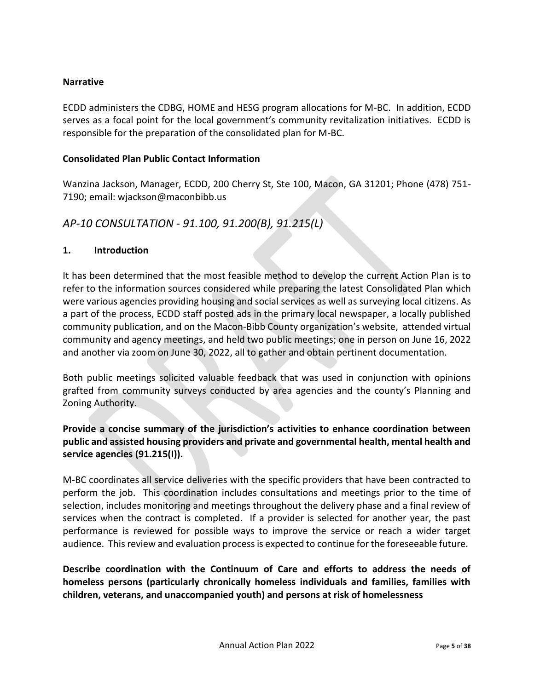#### **Narrative**

ECDD administers the CDBG, HOME and HESG program allocations for M-BC. In addition, ECDD serves as a focal point for the local government's community revitalization initiatives. ECDD is responsible for the preparation of the consolidated plan for M-BC.

#### **Consolidated Plan Public Contact Information**

Wanzina Jackson, Manager, ECDD, 200 Cherry St, Ste 100, Macon, GA 31201; Phone (478) 751- 7190; email: wjackson@maconbibb.us

### *AP-10 CONSULTATION - 91.100, 91.200(B), 91.215(L)*

#### **1. Introduction**

It has been determined that the most feasible method to develop the current Action Plan is to refer to the information sources considered while preparing the latest Consolidated Plan which were various agencies providing housing and social services as well as surveying local citizens. As a part of the process, ECDD staff posted ads in the primary local newspaper, a locally published community publication, and on the Macon-Bibb County organization's website, attended virtual community and agency meetings, and held two public meetings; one in person on June 16, 2022 and another via zoom on June 30, 2022, all to gather and obtain pertinent documentation.

Both public meetings solicited valuable feedback that was used in conjunction with opinions grafted from community surveys conducted by area agencies and the county's Planning and Zoning Authority.

### **Provide a concise summary of the jurisdiction's activities to enhance coordination between public and assisted housing providers and private and governmental health, mental health and service agencies (91.215(I)).**

M-BC coordinates all service deliveries with the specific providers that have been contracted to perform the job. This coordination includes consultations and meetings prior to the time of selection, includes monitoring and meetings throughout the delivery phase and a final review of services when the contract is completed. If a provider is selected for another year, the past performance is reviewed for possible ways to improve the service or reach a wider target audience. This review and evaluation process is expected to continue for the foreseeable future.

**Describe coordination with the Continuum of Care and efforts to address the needs of homeless persons (particularly chronically homeless individuals and families, families with children, veterans, and unaccompanied youth) and persons at risk of homelessness**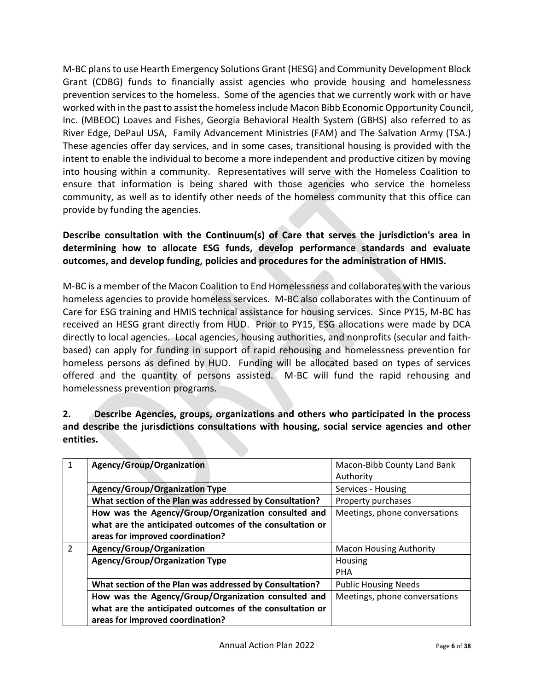M-BC plans to use Hearth Emergency Solutions Grant (HESG) and Community Development Block Grant (CDBG) funds to financially assist agencies who provide housing and homelessness prevention services to the homeless. Some of the agencies that we currently work with or have worked with in the past to assist the homeless include Macon Bibb Economic Opportunity Council, Inc. (MBEOC) Loaves and Fishes, Georgia Behavioral Health System (GBHS) also referred to as River Edge, DePaul USA, Family Advancement Ministries (FAM) and The Salvation Army (TSA.) These agencies offer day services, and in some cases, transitional housing is provided with the intent to enable the individual to become a more independent and productive citizen by moving into housing within a community. Representatives will serve with the Homeless Coalition to ensure that information is being shared with those agencies who service the homeless community, as well as to identify other needs of the homeless community that this office can provide by funding the agencies.

### **Describe consultation with the Continuum(s) of Care that serves the jurisdiction's area in determining how to allocate ESG funds, develop performance standards and evaluate outcomes, and develop funding, policies and procedures for the administration of HMIS.**

M-BC is a member of the Macon Coalition to End Homelessness and collaborates with the various homeless agencies to provide homeless services. M-BC also collaborates with the Continuum of Care for ESG training and HMIS technical assistance for housing services. Since PY15, M-BC has received an HESG grant directly from HUD. Prior to PY15, ESG allocations were made by DCA directly to local agencies. Local agencies, housing authorities, and nonprofits (secular and faithbased) can apply for funding in support of rapid rehousing and homelessness prevention for homeless persons as defined by HUD. Funding will be allocated based on types of services offered and the quantity of persons assisted. M-BC will fund the rapid rehousing and homelessness prevention programs.

**2. Describe Agencies, groups, organizations and others who participated in the process and describe the jurisdictions consultations with housing, social service agencies and other entities.**

|                | Agency/Group/Organization                                | Macon-Bibb County Land Bank    |
|----------------|----------------------------------------------------------|--------------------------------|
|                |                                                          | Authority                      |
|                | Agency/Group/Organization Type                           | Services - Housing             |
|                | What section of the Plan was addressed by Consultation?  | Property purchases             |
|                | How was the Agency/Group/Organization consulted and      | Meetings, phone conversations  |
|                | what are the anticipated outcomes of the consultation or |                                |
|                | areas for improved coordination?                         |                                |
| $\overline{2}$ | Agency/Group/Organization                                | <b>Macon Housing Authority</b> |
|                | <b>Agency/Group/Organization Type</b>                    | Housing                        |
|                |                                                          | <b>PHA</b>                     |
|                | What section of the Plan was addressed by Consultation?  | <b>Public Housing Needs</b>    |
|                | How was the Agency/Group/Organization consulted and      | Meetings, phone conversations  |
|                | what are the anticipated outcomes of the consultation or |                                |
|                | areas for improved coordination?                         |                                |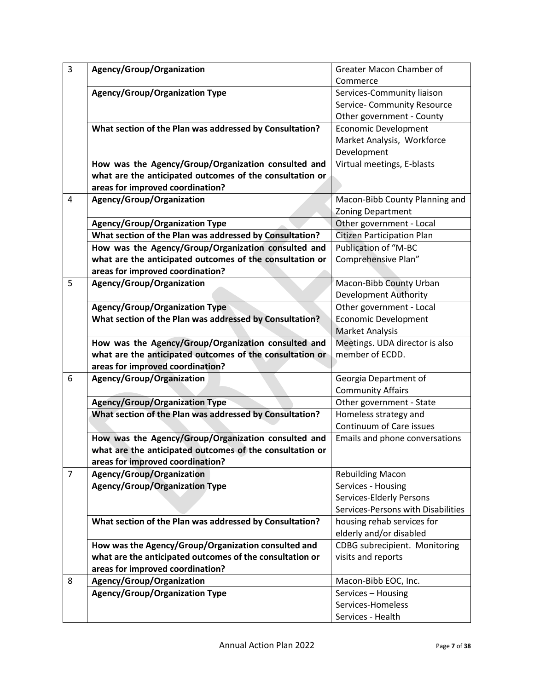| $\overline{3}$ | Agency/Group/Organization                                | Greater Macon Chamber of           |
|----------------|----------------------------------------------------------|------------------------------------|
|                |                                                          | Commerce                           |
|                | <b>Agency/Group/Organization Type</b>                    | Services-Community liaison         |
|                |                                                          | Service- Community Resource        |
|                |                                                          | Other government - County          |
|                | What section of the Plan was addressed by Consultation?  | <b>Economic Development</b>        |
|                |                                                          | Market Analysis, Workforce         |
|                |                                                          | Development                        |
|                | How was the Agency/Group/Organization consulted and      | Virtual meetings, E-blasts         |
|                | what are the anticipated outcomes of the consultation or |                                    |
|                | areas for improved coordination?                         |                                    |
| $\overline{4}$ | Agency/Group/Organization                                | Macon-Bibb County Planning and     |
|                |                                                          | Zoning Department                  |
|                | <b>Agency/Group/Organization Type</b>                    | Other government - Local           |
|                | What section of the Plan was addressed by Consultation?  | <b>Citizen Participation Plan</b>  |
|                | How was the Agency/Group/Organization consulted and      | Publication of "M-BC               |
|                | what are the anticipated outcomes of the consultation or | Comprehensive Plan"                |
|                | areas for improved coordination?                         |                                    |
| 5              | Agency/Group/Organization                                | Macon-Bibb County Urban            |
|                |                                                          | <b>Development Authority</b>       |
|                | <b>Agency/Group/Organization Type</b>                    | Other government - Local           |
|                | What section of the Plan was addressed by Consultation?  | Economic Development               |
|                |                                                          | <b>Market Analysis</b>             |
|                | How was the Agency/Group/Organization consulted and      | Meetings. UDA director is also     |
|                | what are the anticipated outcomes of the consultation or | member of ECDD.                    |
|                | areas for improved coordination?                         |                                    |
| 6              | Agency/Group/Organization                                | Georgia Department of              |
|                |                                                          | <b>Community Affairs</b>           |
|                | <b>Agency/Group/Organization Type</b>                    | Other government - State           |
|                | What section of the Plan was addressed by Consultation?  | Homeless strategy and              |
|                |                                                          | Continuum of Care issues           |
|                | How was the Agency/Group/Organization consulted and      | Emails and phone conversations     |
|                | what are the anticipated outcomes of the consultation or |                                    |
|                | areas for improved coordination?                         |                                    |
| $\overline{7}$ | Agency/Group/Organization                                | <b>Rebuilding Macon</b>            |
|                | <b>Agency/Group/Organization Type</b>                    | Services - Housing                 |
|                |                                                          | Services-Elderly Persons           |
|                |                                                          | Services-Persons with Disabilities |
|                | What section of the Plan was addressed by Consultation?  | housing rehab services for         |
|                |                                                          | elderly and/or disabled            |
|                | How was the Agency/Group/Organization consulted and      | CDBG subrecipient. Monitoring      |
|                | what are the anticipated outcomes of the consultation or | visits and reports                 |
|                | areas for improved coordination?                         |                                    |
| 8              | Agency/Group/Organization                                | Macon-Bibb EOC, Inc.               |
|                | <b>Agency/Group/Organization Type</b>                    | Services - Housing                 |
|                |                                                          | Services-Homeless                  |
|                |                                                          | Services - Health                  |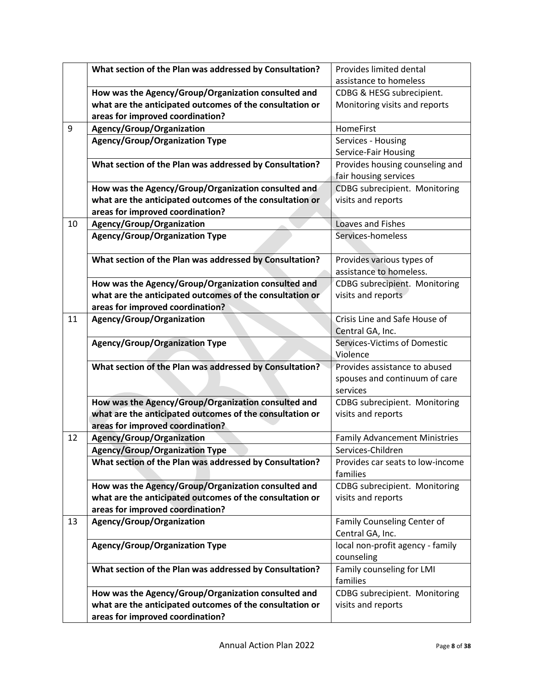|    | What section of the Plan was addressed by Consultation?  | Provides limited dental              |
|----|----------------------------------------------------------|--------------------------------------|
|    |                                                          | assistance to homeless               |
|    | How was the Agency/Group/Organization consulted and      | CDBG & HESG subrecipient.            |
|    | what are the anticipated outcomes of the consultation or | Monitoring visits and reports        |
|    | areas for improved coordination?                         |                                      |
| 9  | Agency/Group/Organization                                | HomeFirst                            |
|    | <b>Agency/Group/Organization Type</b>                    | Services - Housing                   |
|    |                                                          | Service-Fair Housing                 |
|    | What section of the Plan was addressed by Consultation?  | Provides housing counseling and      |
|    |                                                          | fair housing services                |
|    | How was the Agency/Group/Organization consulted and      | CDBG subrecipient. Monitoring        |
|    | what are the anticipated outcomes of the consultation or | visits and reports                   |
|    | areas for improved coordination?                         |                                      |
| 10 | Agency/Group/Organization                                | Loaves and Fishes                    |
|    | <b>Agency/Group/Organization Type</b>                    | Services-homeless                    |
|    |                                                          |                                      |
|    | What section of the Plan was addressed by Consultation?  | Provides various types of            |
|    |                                                          | assistance to homeless.              |
|    | How was the Agency/Group/Organization consulted and      | CDBG subrecipient. Monitoring        |
|    | what are the anticipated outcomes of the consultation or | visits and reports                   |
|    | areas for improved coordination?                         |                                      |
| 11 | Agency/Group/Organization                                | Crisis Line and Safe House of        |
|    |                                                          | Central GA, Inc.                     |
|    | <b>Agency/Group/Organization Type</b>                    | Services-Victims of Domestic         |
|    |                                                          | Violence                             |
|    | What section of the Plan was addressed by Consultation?  | Provides assistance to abused        |
|    |                                                          | spouses and continuum of care        |
|    |                                                          | services                             |
|    | How was the Agency/Group/Organization consulted and      | CDBG subrecipient. Monitoring        |
|    | what are the anticipated outcomes of the consultation or | visits and reports                   |
|    | areas for improved coordination?                         |                                      |
| 12 | Agency/Group/Organization                                | <b>Family Advancement Ministries</b> |
|    | <b>Agency/Group/Organization Type</b>                    | Services-Children                    |
|    | What section of the Plan was addressed by Consultation?  | Provides car seats to low-income     |
|    |                                                          | families                             |
|    | How was the Agency/Group/Organization consulted and      | CDBG subrecipient. Monitoring        |
|    | what are the anticipated outcomes of the consultation or | visits and reports                   |
|    | areas for improved coordination?                         |                                      |
| 13 | Agency/Group/Organization                                | Family Counseling Center of          |
|    |                                                          | Central GA, Inc.                     |
|    | <b>Agency/Group/Organization Type</b>                    | local non-profit agency - family     |
|    |                                                          | counseling                           |
|    | What section of the Plan was addressed by Consultation?  | Family counseling for LMI            |
|    |                                                          | families                             |
|    | How was the Agency/Group/Organization consulted and      | CDBG subrecipient. Monitoring        |
|    | what are the anticipated outcomes of the consultation or | visits and reports                   |
|    | areas for improved coordination?                         |                                      |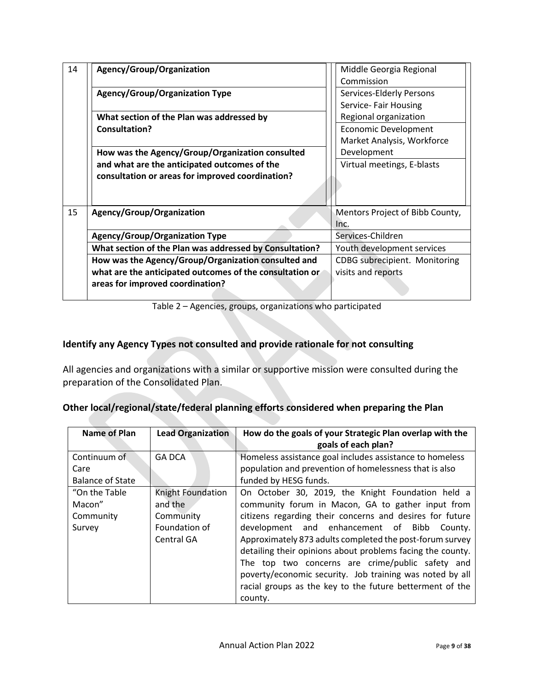| 14 | Agency/Group/Organization                                | Middle Georgia Regional         |  |
|----|----------------------------------------------------------|---------------------------------|--|
|    |                                                          | Commission                      |  |
|    | <b>Agency/Group/Organization Type</b>                    | Services-Elderly Persons        |  |
|    |                                                          | Service- Fair Housing           |  |
|    | What section of the Plan was addressed by                | Regional organization           |  |
|    | Consultation?                                            | <b>Economic Development</b>     |  |
|    |                                                          | Market Analysis, Workforce      |  |
|    | How was the Agency/Group/Organization consulted          | Development                     |  |
|    | and what are the anticipated outcomes of the             | Virtual meetings, E-blasts      |  |
|    | consultation or areas for improved coordination?         |                                 |  |
|    |                                                          |                                 |  |
|    |                                                          |                                 |  |
| 15 | Agency/Group/Organization                                | Mentors Project of Bibb County, |  |
|    |                                                          | Inc.                            |  |
|    | <b>Agency/Group/Organization Type</b>                    | Services-Children               |  |
|    | What section of the Plan was addressed by Consultation?  | Youth development services      |  |
|    | How was the Agency/Group/Organization consulted and      | CDBG subrecipient. Monitoring   |  |
|    | what are the anticipated outcomes of the consultation or | visits and reports              |  |
|    | areas for improved coordination?                         |                                 |  |
|    |                                                          |                                 |  |

Table 2 – Agencies, groups, organizations who participated

## **Identify any Agency Types not consulted and provide rationale for not consulting**

All agencies and organizations with a similar or supportive mission were consulted during the preparation of the Consolidated Plan.

|  |  |  | Other local/regional/state/federal planning efforts considered when preparing the Plan |
|--|--|--|----------------------------------------------------------------------------------------|
|  |  |  |                                                                                        |

| <b>Name of Plan</b>     | <b>Lead Organization</b> | How do the goals of your Strategic Plan overlap with the<br>goals of each plan? |
|-------------------------|--------------------------|---------------------------------------------------------------------------------|
| Continuum of            | <b>GA DCA</b>            | Homeless assistance goal includes assistance to homeless                        |
| Care                    |                          | population and prevention of homelessness that is also                          |
| <b>Balance of State</b> |                          | funded by HESG funds.                                                           |
| "On the Table"          | Knight Foundation        | On October 30, 2019, the Knight Foundation held a                               |
| Macon"                  | and the                  | community forum in Macon, GA to gather input from                               |
| Community               | Community                | citizens regarding their concerns and desires for future                        |
| Survey                  | Foundation of            | development and enhancement of Bibb<br>County.                                  |
|                         | Central GA               | Approximately 873 adults completed the post-forum survey                        |
|                         |                          | detailing their opinions about problems facing the county.                      |
|                         |                          | The top two concerns are crime/public safety and                                |
|                         |                          | poverty/economic security. Job training was noted by all                        |
|                         |                          | racial groups as the key to the future betterment of the                        |
|                         |                          | county.                                                                         |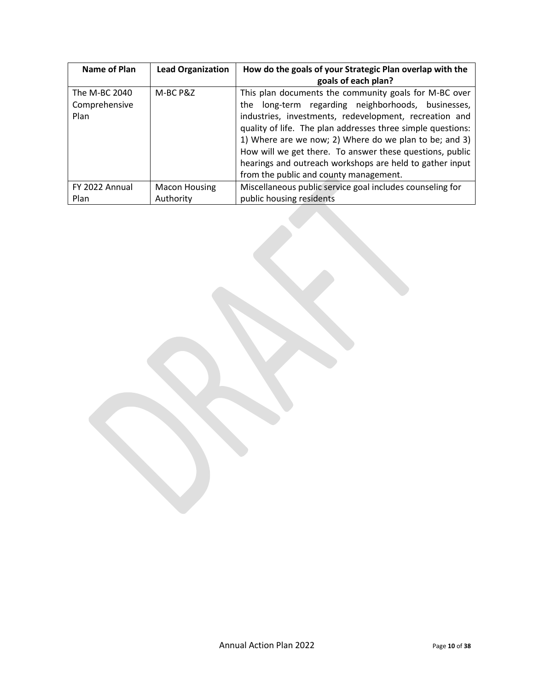| Name of Plan   | <b>Lead Organization</b> | How do the goals of your Strategic Plan overlap with the<br>goals of each plan? |
|----------------|--------------------------|---------------------------------------------------------------------------------|
|                |                          |                                                                                 |
| The M-BC 2040  | M-BC P&Z                 | This plan documents the community goals for M-BC over                           |
| Comprehensive  |                          | long-term regarding neighborhoods, businesses,<br>the                           |
| Plan           |                          | industries, investments, redevelopment, recreation and                          |
|                |                          | quality of life. The plan addresses three simple questions:                     |
|                |                          | 1) Where are we now; 2) Where do we plan to be; and 3)                          |
|                |                          | How will we get there. To answer these questions, public                        |
|                |                          | hearings and outreach workshops are held to gather input                        |
|                |                          | from the public and county management.                                          |
| FY 2022 Annual | <b>Macon Housing</b>     | Miscellaneous public service goal includes counseling for                       |
| Plan           | Authority                | public housing residents                                                        |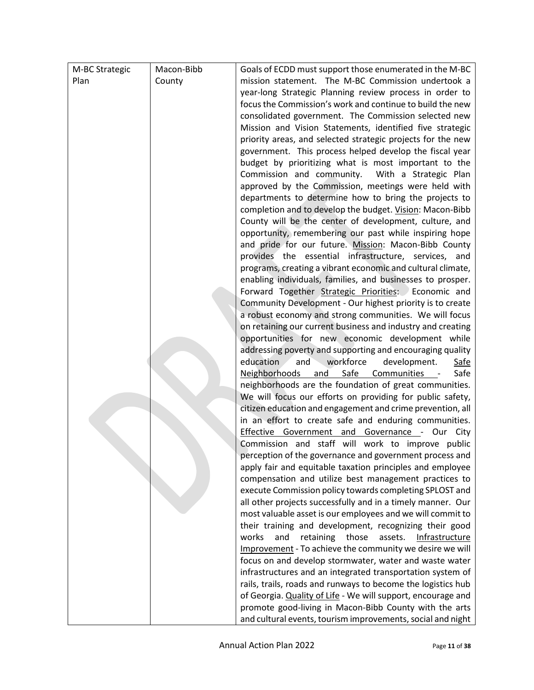| M-BC Strategic | Macon-Bibb | Goals of ECDD must support those enumerated in the M-BC                                                                |
|----------------|------------|------------------------------------------------------------------------------------------------------------------------|
| Plan           | County     | mission statement. The M-BC Commission undertook a                                                                     |
|                |            | year-long Strategic Planning review process in order to                                                                |
|                |            | focus the Commission's work and continue to build the new                                                              |
|                |            | consolidated government. The Commission selected new                                                                   |
|                |            | Mission and Vision Statements, identified five strategic                                                               |
|                |            | priority areas, and selected strategic projects for the new                                                            |
|                |            | government. This process helped develop the fiscal year                                                                |
|                |            | budget by prioritizing what is most important to the                                                                   |
|                |            | Commission and community. With a Strategic Plan                                                                        |
|                |            | approved by the Commission, meetings were held with                                                                    |
|                |            | departments to determine how to bring the projects to                                                                  |
|                |            | completion and to develop the budget. Vision: Macon-Bibb                                                               |
|                |            | County will be the center of development, culture, and                                                                 |
|                |            | opportunity, remembering our past while inspiring hope                                                                 |
|                |            | and pride for our future. Mission: Macon-Bibb County                                                                   |
|                |            | provides the essential infrastructure, services, and                                                                   |
|                |            | programs, creating a vibrant economic and cultural climate,                                                            |
|                |            | enabling individuals, families, and businesses to prosper.<br>Forward Together Strategic Priorities: Economic and      |
|                |            | Community Development - Our highest priority is to create                                                              |
|                |            | a robust economy and strong communities. We will focus                                                                 |
|                |            | on retaining our current business and industry and creating                                                            |
|                |            | opportunities for new economic development while                                                                       |
|                |            | addressing poverty and supporting and encouraging quality                                                              |
|                |            | education<br>and<br>workforce<br>development.<br><b>Safe</b>                                                           |
|                |            | Safe<br>Neighborhoods and<br>Communities -<br>Safe                                                                     |
|                |            | neighborhoods are the foundation of great communities.                                                                 |
|                |            | We will focus our efforts on providing for public safety,                                                              |
|                |            | citizen education and engagement and crime prevention, all                                                             |
|                |            | in an effort to create safe and enduring communities.                                                                  |
|                |            | Effective Government and Governance - Our City                                                                         |
|                |            | Commission and staff will work to improve public                                                                       |
|                |            | perception of the governance and government process and                                                                |
|                |            | apply fair and equitable taxation principles and employee                                                              |
|                |            | compensation and utilize best management practices to                                                                  |
|                |            | execute Commission policy towards completing SPLOST and<br>all other projects successfully and in a timely manner. Our |
|                |            | most valuable asset is our employees and we will commit to                                                             |
|                |            | their training and development, recognizing their good                                                                 |
|                |            | and<br>works<br>retaining<br>those<br>assets.<br>Infrastructure                                                        |
|                |            | Improvement - To achieve the community we desire we will                                                               |
|                |            | focus on and develop stormwater, water and waste water                                                                 |
|                |            | infrastructures and an integrated transportation system of                                                             |
|                |            | rails, trails, roads and runways to become the logistics hub                                                           |
|                |            | of Georgia. Quality of Life - We will support, encourage and                                                           |
|                |            | promote good-living in Macon-Bibb County with the arts                                                                 |
|                |            | and cultural events, tourism improvements, social and night                                                            |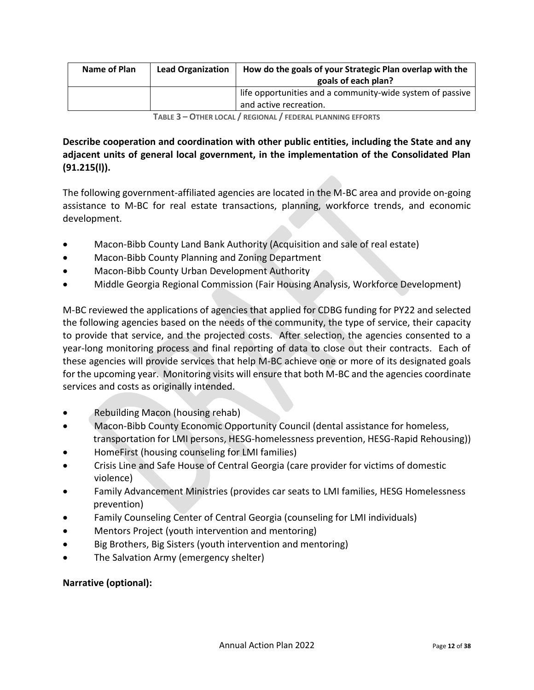| Name of Plan | <b>Lead Organization</b> | How do the goals of your Strategic Plan overlap with the<br>goals of each plan?     |
|--------------|--------------------------|-------------------------------------------------------------------------------------|
|              |                          | life opportunities and a community-wide system of passive<br>and active recreation. |
|              |                          |                                                                                     |

**TABLE 3 – OTHER LOCAL / REGIONAL / FEDERAL PLANNING EFFORTS**

### **Describe cooperation and coordination with other public entities, including the State and any adjacent units of general local government, in the implementation of the Consolidated Plan (91.215(l)).**

The following government-affiliated agencies are located in the M-BC area and provide on-going assistance to M-BC for real estate transactions, planning, workforce trends, and economic development.

- Macon-Bibb County Land Bank Authority (Acquisition and sale of real estate)
- Macon-Bibb County Planning and Zoning Department
- Macon-Bibb County Urban Development Authority
- Middle Georgia Regional Commission (Fair Housing Analysis, Workforce Development)

M-BC reviewed the applications of agencies that applied for CDBG funding for PY22 and selected the following agencies based on the needs of the community, the type of service, their capacity to provide that service, and the projected costs. After selection, the agencies consented to a year-long monitoring process and final reporting of data to close out their contracts. Each of these agencies will provide services that help M-BC achieve one or more of its designated goals for the upcoming year. Monitoring visits will ensure that both M-BC and the agencies coordinate services and costs as originally intended.

- Rebuilding Macon (housing rehab)
- Macon-Bibb County Economic Opportunity Council (dental assistance for homeless, transportation for LMI persons, HESG-homelessness prevention, HESG-Rapid Rehousing))
- HomeFirst (housing counseling for LMI families)
- Crisis Line and Safe House of Central Georgia (care provider for victims of domestic violence)
- Family Advancement Ministries (provides car seats to LMI families, HESG Homelessness prevention)
- Family Counseling Center of Central Georgia (counseling for LMI individuals)
- Mentors Project (youth intervention and mentoring)
- Big Brothers, Big Sisters (youth intervention and mentoring)
- The Salvation Army (emergency shelter)

### **Narrative (optional):**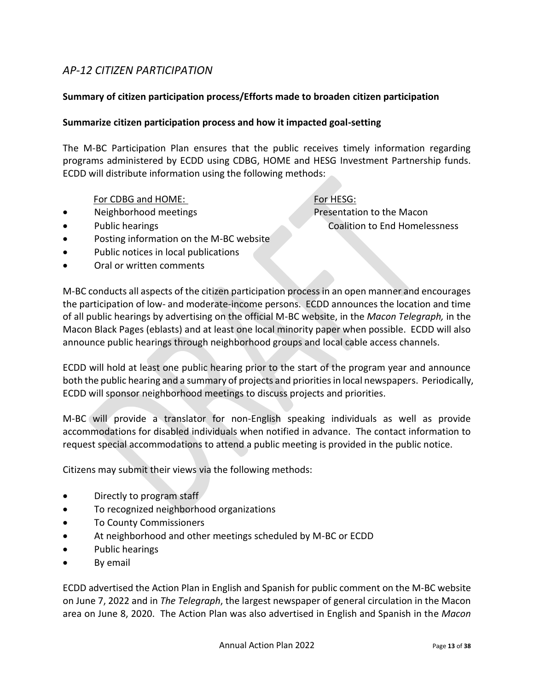### *AP-12 CITIZEN PARTICIPATION*

#### **Summary of citizen participation process/Efforts made to broaden citizen participation**

#### **Summarize citizen participation process and how it impacted goal-setting**

The M-BC Participation Plan ensures that the public receives timely information regarding programs administered by ECDD using CDBG, HOME and HESG Investment Partnership funds. ECDD will distribute information using the following methods:

#### For CDBG and HOME: For HESG:

• Neighborhood meetings Presentation to the Macon

• Public hearings Coalition to End Homelessness

- 
- Posting information on the M-BC website
- Public notices in local publications
- Oral or written comments

M-BC conducts all aspects of the citizen participation process in an open manner and encourages the participation of low- and moderate-income persons. ECDD announces the location and time of all public hearings by advertising on the official M-BC website, in the *Macon Telegraph,* in the Macon Black Pages (eblasts) and at least one local minority paper when possible. ECDD will also announce public hearings through neighborhood groups and local cable access channels.

ECDD will hold at least one public hearing prior to the start of the program year and announce both the public hearing and a summary of projects and priorities in local newspapers. Periodically, ECDD will sponsor neighborhood meetings to discuss projects and priorities.

M-BC will provide a translator for non-English speaking individuals as well as provide accommodations for disabled individuals when notified in advance. The contact information to request special accommodations to attend a public meeting is provided in the public notice.

Citizens may submit their views via the following methods:

- Directly to program staff
- To recognized neighborhood organizations
- To County Commissioners
- At neighborhood and other meetings scheduled by M-BC or ECDD
- Public hearings
- By email

ECDD advertised the Action Plan in English and Spanish for public comment on the M-BC website on June 7, 2022 and in *The Telegraph*, the largest newspaper of general circulation in the Macon area on June 8, 2020. The Action Plan was also advertised in English and Spanish in the *Macon*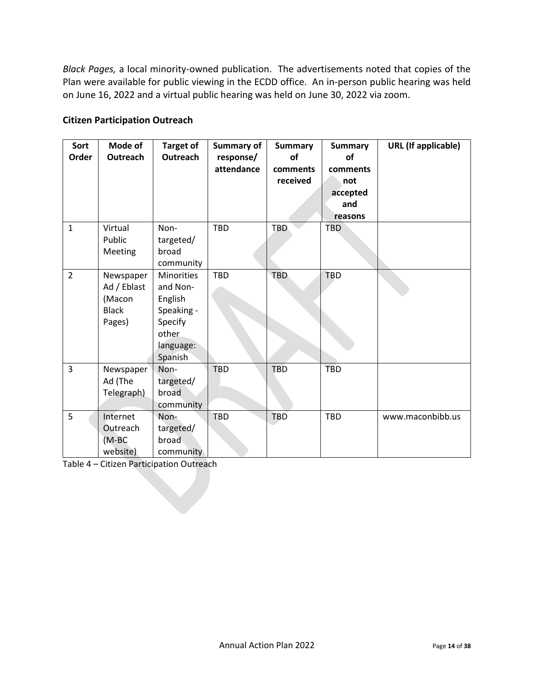*Black Pages,* a local minority-owned publication. The advertisements noted that copies of the Plan were available for public viewing in the ECDD office. An in-person public hearing was held on June 16, 2022 and a virtual public hearing was held on June 30, 2022 via zoom.

#### **Citizen Participation Outreach**

| Sort<br>Order  | Mode of<br>Outreach                                          | <b>Target of</b><br>Outreach                                                                       | <b>Summary of</b><br>response/<br>attendance | <b>Summary</b><br>of<br>comments<br>received | <b>Summary</b><br><b>of</b><br>comments<br>not<br>accepted<br>and<br>reasons | <b>URL</b> (If applicable) |
|----------------|--------------------------------------------------------------|----------------------------------------------------------------------------------------------------|----------------------------------------------|----------------------------------------------|------------------------------------------------------------------------------|----------------------------|
| $\mathbf{1}$   | Virtual<br>Public<br>Meeting                                 | Non-<br>targeted/<br>broad<br>community                                                            | TBD                                          | <b>TBD</b>                                   | <b>TBD</b>                                                                   |                            |
| $\overline{2}$ | Newspaper<br>Ad / Eblast<br>(Macon<br><b>Black</b><br>Pages) | <b>Minorities</b><br>and Non-<br>English<br>Speaking -<br>Specify<br>other<br>language:<br>Spanish | TBD                                          | <b>TBD</b>                                   | <b>TBD</b>                                                                   |                            |
| $\overline{3}$ | Newspaper<br>Ad (The<br>Telegraph)                           | Non-<br>targeted/<br>broad<br>community                                                            | <b>TBD</b>                                   | <b>TBD</b>                                   | <b>TBD</b>                                                                   |                            |
| 5              | Internet<br>Outreach<br>(M-BC<br>website)                    | Non-<br>targeted/<br>broad<br>community                                                            | TBD                                          | <b>TBD</b>                                   | <b>TBD</b>                                                                   | www.maconbibb.us           |

Table 4 – Citizen Participation Outreach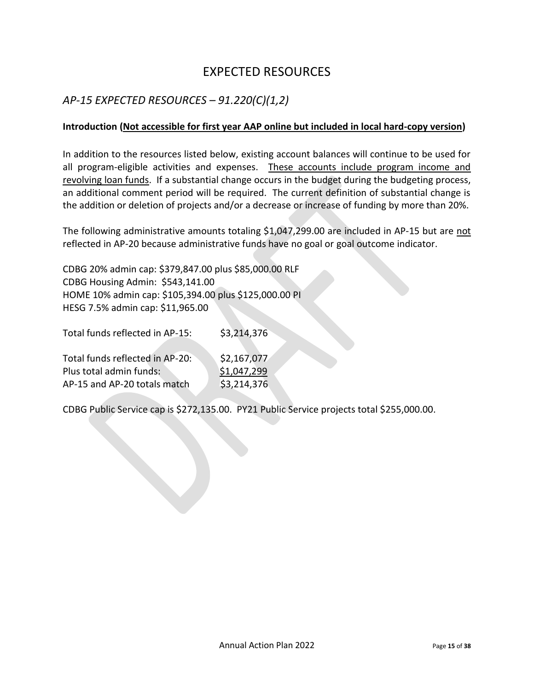# EXPECTED RESOURCES

### *AP-15 EXPECTED RESOURCES – 91.220(C)(1,2)*

#### **Introduction (Not accessible for first year AAP online but included in local hard-copy version)**

In addition to the resources listed below, existing account balances will continue to be used for all program-eligible activities and expenses. These accounts include program income and revolving loan funds. If a substantial change occurs in the budget during the budgeting process, an additional comment period will be required. The current definition of substantial change is the addition or deletion of projects and/or a decrease or increase of funding by more than 20%.

The following administrative amounts totaling \$1,047,299.00 are included in AP-15 but are not reflected in AP-20 because administrative funds have no goal or goal outcome indicator.

CDBG 20% admin cap: \$379,847.00 plus \$85,000.00 RLF CDBG Housing Admin: \$543,141.00 HOME 10% admin cap: \$105,394.00 plus \$125,000.00 PI HESG 7.5% admin cap: \$11,965.00

Total funds reflected in AP-15: \$3,214,376

| Total funds reflected in AP-20: | \$2,167,077 |
|---------------------------------|-------------|
| Plus total admin funds:         | \$1,047,299 |
| AP-15 and AP-20 totals match    | \$3,214,376 |

CDBG Public Service cap is \$272,135.00. PY21 Public Service projects total \$255,000.00.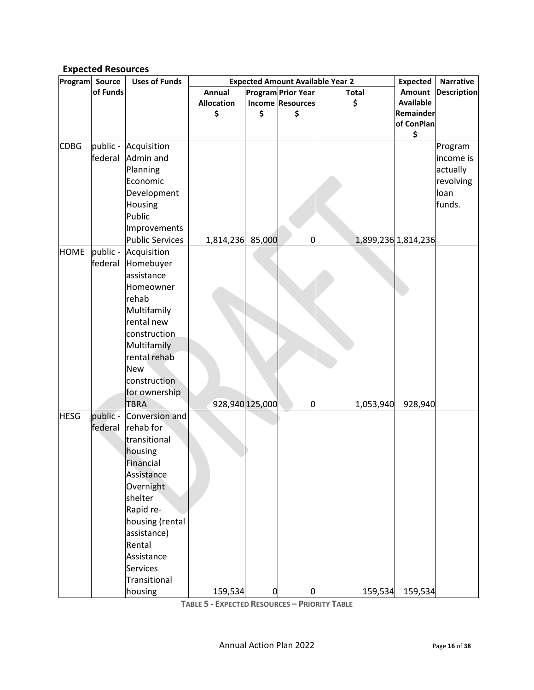### **Expected Resources**

| Program     | Source   | <b>Uses of Funds</b> |                   |                |                           | <b>Expected Amount Available Year 2</b> | <b>Expected</b>     | <b>Narrative</b>   |
|-------------|----------|----------------------|-------------------|----------------|---------------------------|-----------------------------------------|---------------------|--------------------|
|             | of Funds |                      | Annual            |                | <b>Program Prior Year</b> | <b>Total</b>                            | <b>Amount</b>       | <b>Description</b> |
|             |          |                      | <b>Allocation</b> |                | <b>Income Resources</b>   | \$                                      | <b>Available</b>    |                    |
|             |          |                      | \$                | \$             | \$                        |                                         | Remainder           |                    |
|             |          |                      |                   |                |                           |                                         | of ConPlan          |                    |
|             |          |                      |                   |                |                           |                                         | \$                  |                    |
| <b>CDBG</b> |          | public - Acquisition |                   |                |                           |                                         |                     | Program            |
|             | federal  | Admin and            |                   |                |                           |                                         |                     | income is          |
|             |          | Planning             |                   |                |                           |                                         |                     | actually           |
|             |          | Economic             |                   |                |                           |                                         |                     | revolving          |
|             |          | Development          |                   |                |                           |                                         |                     | loan               |
|             |          | Housing              |                   |                |                           |                                         |                     | funds.             |
|             |          | Public               |                   |                |                           |                                         |                     |                    |
|             |          | Improvements         |                   |                |                           |                                         |                     |                    |
|             |          | Public Services      | 1,814,236 85,000  |                | 0                         |                                         | 1,899,236 1,814,236 |                    |
| <b>HOME</b> | public - | Acquisition          |                   |                |                           |                                         |                     |                    |
|             | federal  | Homebuyer            |                   |                |                           |                                         |                     |                    |
|             |          | assistance           |                   |                |                           |                                         |                     |                    |
|             |          | Homeowner            |                   |                |                           |                                         |                     |                    |
|             |          | rehab                |                   |                |                           |                                         |                     |                    |
|             |          | Multifamily          |                   |                |                           |                                         |                     |                    |
|             |          | rental new           |                   |                |                           |                                         |                     |                    |
|             |          | construction         |                   |                |                           |                                         |                     |                    |
|             |          | Multifamily          |                   |                |                           |                                         |                     |                    |
|             |          | rental rehab         |                   |                |                           |                                         |                     |                    |
|             |          | <b>New</b>           |                   |                |                           |                                         |                     |                    |
|             |          | construction         |                   |                |                           |                                         |                     |                    |
|             |          | for ownership        |                   |                |                           |                                         |                     |                    |
|             |          | <b>TBRA</b>          | 928,940 125,000   |                | 0                         | 1,053,940                               | 928,940             |                    |
| <b>HESG</b> | public - | Conversion and       |                   |                |                           |                                         |                     |                    |
|             | federal  | rehab for            |                   |                |                           |                                         |                     |                    |
|             |          | transitional         |                   |                |                           |                                         |                     |                    |
|             |          | housing              |                   |                |                           |                                         |                     |                    |
|             |          | Financial            |                   |                |                           |                                         |                     |                    |
|             |          | Assistance           |                   |                |                           |                                         |                     |                    |
|             |          | Overnight            |                   |                |                           |                                         |                     |                    |
|             |          | shelter              |                   |                |                           |                                         |                     |                    |
|             |          | Rapid re-            |                   |                |                           |                                         |                     |                    |
|             |          |                      |                   |                |                           |                                         |                     |                    |
|             |          | housing (rental      |                   |                |                           |                                         |                     |                    |
|             |          | assistance)          |                   |                |                           |                                         |                     |                    |
|             |          | Rental               |                   |                |                           |                                         |                     |                    |
|             |          | Assistance           |                   |                |                           |                                         |                     |                    |
|             |          | Services             |                   |                |                           |                                         |                     |                    |
|             |          | Transitional         |                   |                |                           |                                         |                     |                    |
|             |          | housing              | 159,534           | $\overline{0}$ | $\overline{0}$            | 159,534                                 | 159,534             |                    |

**TABLE 5 - EXPECTED RESOURCES – PRIORITY TABLE**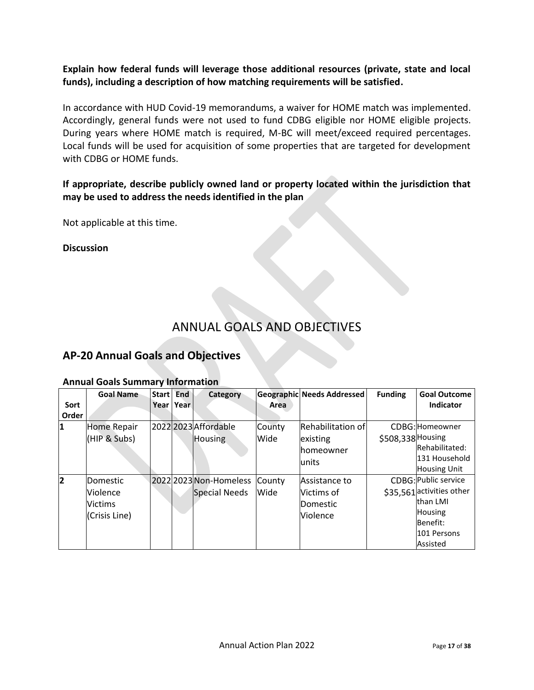### **Explain how federal funds will leverage those additional resources (private, state and local funds), including a description of how matching requirements will be satisfied.**

In accordance with HUD Covid-19 memorandums, a waiver for HOME match was implemented. Accordingly, general funds were not used to fund CDBG eligible nor HOME eligible projects. During years where HOME match is required, M-BC will meet/exceed required percentages. Local funds will be used for acquisition of some properties that are targeted for development with CDBG or HOME funds.

### **If appropriate, describe publicly owned land or property located within the jurisdiction that may be used to address the needs identified in the plan**

Not applicable at this time.

**Discussion**

# ANNUAL GOALS AND OBJECTIVES

### **AP-20 Annual Goals and Objectives**

|       | <b>Goal Name</b>   | <b>Start</b> | <b>End</b> | Category               |        | <b>Geographic Needs Addressed</b> | <b>Funding</b>    | <b>Goal Outcome</b>       |
|-------|--------------------|--------------|------------|------------------------|--------|-----------------------------------|-------------------|---------------------------|
| Sort  |                    | Year         | Year       |                        | Area   |                                   |                   | <b>Indicator</b>          |
| Order |                    |              |            |                        |        |                                   |                   |                           |
| 11    | <b>Home Repair</b> |              |            | 2022 2023 Affordable   | County | Rehabilitation of                 |                   | CDBG: Homeowner           |
|       | (HIP & Subs)       |              |            | <b>Housing</b>         | Wide   | existing                          | \$508,338 Housing |                           |
|       |                    |              |            |                        |        | Ihomeowner                        |                   | Rehabilitated:            |
|       |                    |              |            |                        |        | lunits                            |                   | 131 Household             |
|       |                    |              |            |                        |        |                                   |                   | <b>Housing Unit</b>       |
| 12    | Domestic           |              |            | 2022 2023 Non-Homeless | County | Assistance to                     |                   | CDBG: Public service      |
|       | <b>Violence</b>    |              |            | Special Needs          | Wide   | Victims of                        |                   | \$35,561 activities other |
|       | <b>Victims</b>     |              |            |                        |        | Domestic                          |                   | than LMI                  |
|       | (Crisis Line)      |              |            |                        |        | <b>Violence</b>                   |                   | <b>Housing</b>            |
|       |                    |              |            |                        |        |                                   |                   | Benefit:                  |
|       |                    |              |            |                        |        |                                   |                   | 101 Persons               |
|       |                    |              |            |                        |        |                                   |                   | Assisted                  |

#### **Annual Goals Summary Information**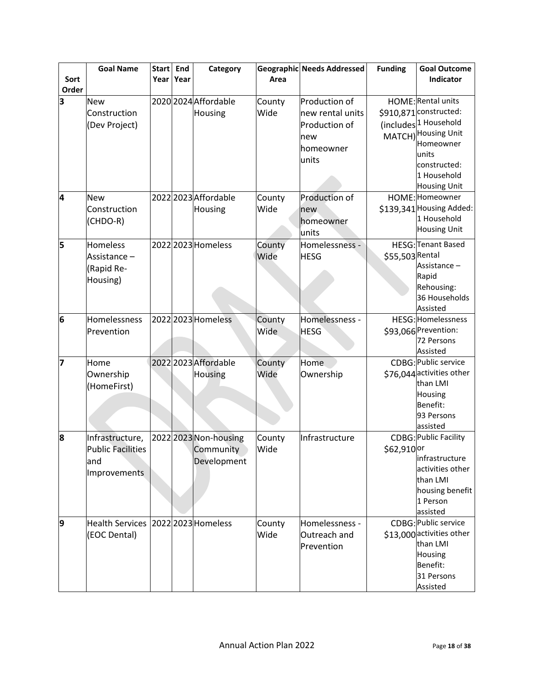|       | <b>Goal Name</b>         | <b>Start</b> | End  | Category              |        | <b>Geographic Needs Addressed</b> | <b>Funding</b>  | <b>Goal Outcome</b>              |
|-------|--------------------------|--------------|------|-----------------------|--------|-----------------------------------|-----------------|----------------------------------|
| Sort  |                          | Year         | Year |                       | Area   |                                   |                 | Indicator                        |
| Order |                          |              |      |                       |        |                                   |                 |                                  |
| 3     | <b>New</b>               |              |      | 2020 2024 Affordable  | County | Production of                     |                 | HOME: Rental units               |
|       | Construction             |              |      | Housing               | Wide   | new rental units                  |                 | \$910,871 constructed:           |
|       | (Dev Project)            |              |      |                       |        | Production of                     |                 | (includes <sup>1</sup> Household |
|       |                          |              |      |                       |        | new                               |                 | MATCH) Housing Unit              |
|       |                          |              |      |                       |        | homeowner                         |                 | Homeowner                        |
|       |                          |              |      |                       |        | units                             |                 | units                            |
|       |                          |              |      |                       |        |                                   |                 | constructed:                     |
|       |                          |              |      |                       |        |                                   |                 | 1 Household                      |
|       |                          |              |      |                       |        |                                   |                 | <b>Housing Unit</b>              |
| 4     | <b>New</b>               |              |      | 2022 2023 Affordable  | County | Production of                     |                 | HOME: Homeowner                  |
|       | Construction             |              |      | <b>Housing</b>        | Wide   | new                               |                 | \$139,341 Housing Added:         |
|       | (CHDO-R)                 |              |      |                       |        | homeowner                         |                 | 1 Household                      |
|       |                          |              |      |                       |        | units                             |                 | <b>Housing Unit</b>              |
| 5     | Homeless                 |              |      | 2022 2023 Homeless    | County | Homelessness -                    |                 | HESG: Tenant Based               |
|       | Assistance -             |              |      |                       | Wide   | <b>HESG</b>                       | \$55,503 Rental |                                  |
|       | (Rapid Re-               |              |      |                       |        |                                   |                 | Assistance-                      |
|       |                          |              |      |                       |        |                                   |                 | Rapid                            |
|       | Housing)                 |              |      |                       |        |                                   |                 | Rehousing:                       |
|       |                          |              |      |                       |        |                                   |                 | 36 Households                    |
|       |                          |              |      |                       |        |                                   |                 | Assisted                         |
| 6     | Homelessness             |              |      | 2022 2023 Homeless    | County | Homelessness -                    |                 | HESG: Homelessness               |
|       | Prevention               |              |      |                       | Wide   | <b>HESG</b>                       |                 | \$93,066 Prevention:             |
|       |                          |              |      |                       |        |                                   |                 | 72 Persons                       |
|       |                          |              |      |                       |        |                                   |                 | Assisted                         |
| 7     | Home                     |              |      | 2022 2023 Affordable  | County | <b>Home</b>                       |                 | CDBG: Public service             |
|       | Ownership                |              |      | <b>Housing</b>        | Wide   | Ownership                         |                 | \$76,044 activities other        |
|       | (HomeFirst)              |              |      |                       |        |                                   |                 | than LMI                         |
|       |                          |              |      |                       |        |                                   |                 | Housing                          |
|       |                          |              |      |                       |        |                                   |                 | Benefit:                         |
|       |                          |              |      |                       |        |                                   |                 | 93 Persons                       |
|       |                          |              |      |                       |        |                                   |                 | assisted                         |
| 8     | Infrastructure,          |              |      | 2022 2023 Non-housing | County | Infrastructure                    |                 | CDBG: Public Facility            |
|       | <b>Public Facilities</b> |              |      | Community             | Wide   |                                   | \$62,910 or     |                                  |
|       | and                      |              |      | Development           |        |                                   |                 | infrastructure                   |
|       | Improvements             |              |      |                       |        |                                   |                 | activities other                 |
|       |                          |              |      |                       |        |                                   |                 | than LMI                         |
|       |                          |              |      |                       |        |                                   |                 | housing benefit                  |
|       |                          |              |      |                       |        |                                   |                 | 1 Person                         |
|       |                          |              |      |                       |        |                                   |                 | assisted                         |
| 9     | <b>Health Services</b>   |              |      | 2022 2023 Homeless    | County | Homelessness -                    |                 | CDBG: Public service             |
|       | (EOC Dental)             |              |      |                       | Wide   | Outreach and                      |                 | \$13,000 activities other        |
|       |                          |              |      |                       |        | Prevention                        |                 | than LMI                         |
|       |                          |              |      |                       |        |                                   |                 | Housing<br>Benefit:              |
|       |                          |              |      |                       |        |                                   |                 | 31 Persons                       |
|       |                          |              |      |                       |        |                                   |                 |                                  |
|       |                          |              |      |                       |        |                                   |                 | Assisted                         |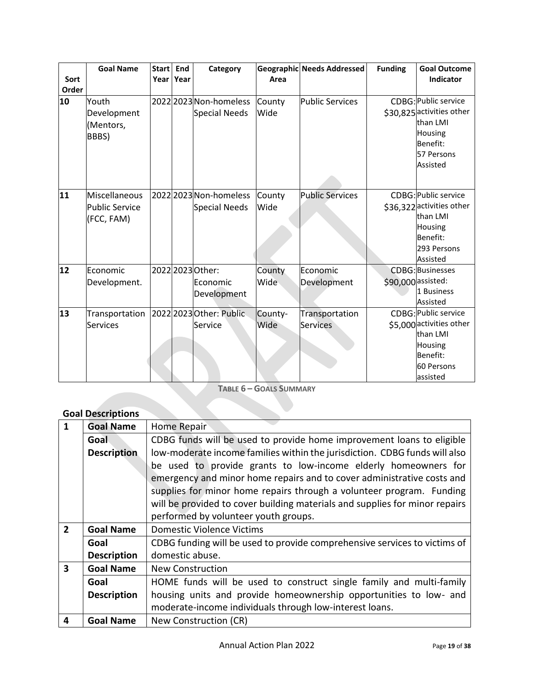|       | <b>Goal Name</b>      | <b>Start</b> | End  | Category                |         | <b>Geographic Needs Addressed</b> | <b>Funding</b> | <b>Goal Outcome</b>       |
|-------|-----------------------|--------------|------|-------------------------|---------|-----------------------------------|----------------|---------------------------|
| Sort  |                       | Year         | Year |                         | Area    |                                   |                | Indicator                 |
| Order |                       |              |      |                         |         |                                   |                |                           |
| 10    | Youth                 |              |      | 2022 2023 Non-homeless  | County  | <b>Public Services</b>            |                | CDBG: Public service      |
|       | Development           |              |      | Special Needs           | Wide    |                                   |                | \$30,825 activities other |
|       | (Mentors,             |              |      |                         |         |                                   |                | than I MI                 |
|       | BBBS)                 |              |      |                         |         |                                   |                | Housing                   |
|       |                       |              |      |                         |         |                                   |                | <b>Benefit:</b>           |
|       |                       |              |      |                         |         |                                   |                | 57 Persons                |
|       |                       |              |      |                         |         |                                   |                | Assisted                  |
|       |                       |              |      |                         |         |                                   |                |                           |
| 11    | Miscellaneous         |              |      | 2022 2023 Non-homeless  | County  | <b>Public Services</b>            |                | CDBG: Public service      |
|       | <b>Public Service</b> |              |      | <b>Special Needs</b>    | Wide    |                                   |                | \$36,322 activities other |
|       | (FCC, FAM)            |              |      |                         |         |                                   |                | than I MI                 |
|       |                       |              |      |                         |         |                                   |                | Housing                   |
|       |                       |              |      |                         |         |                                   |                | Benefit:                  |
|       |                       |              |      |                         |         |                                   |                | 293 Persons               |
|       |                       |              |      |                         |         |                                   |                | Assisted                  |
| 12    | Economic              |              |      | 2022 2023 Other:        | County  | Economic                          |                | <b>CDBG: Businesses</b>   |
|       | Development.          |              |      | Economic                | Wide    | Development                       |                | \$90,000 assisted:        |
|       |                       |              |      | Development             |         |                                   |                | 1 Business                |
|       |                       |              |      |                         |         |                                   |                | Assisted                  |
| 13    | Transportation        |              |      | 2022 2023 Other: Public | County- | Transportation                    |                | CDBG: Public service      |
|       | <b>Services</b>       |              |      | Service                 | Wide    | Services                          |                | \$5,000 activities other  |
|       |                       |              |      |                         |         |                                   |                | than LMI                  |
|       |                       |              |      |                         |         |                                   |                | <b>Housing</b>            |
|       |                       |              |      |                         |         |                                   |                | Benefit:                  |
|       |                       |              |      |                         |         |                                   |                | 60 Persons                |
|       |                       |              |      |                         |         |                                   |                | assisted                  |

**TABLE 6 – GOALS SUMMARY**

### **Goal Descriptions**

| $\mathbf{1}$   | <b>Goal Name</b>   | Home Repair                                                                 |  |  |  |
|----------------|--------------------|-----------------------------------------------------------------------------|--|--|--|
|                | Goal               | CDBG funds will be used to provide home improvement loans to eligible       |  |  |  |
|                | <b>Description</b> | low-moderate income families within the jurisdiction. CDBG funds will also  |  |  |  |
|                |                    | be used to provide grants to low-income elderly homeowners for              |  |  |  |
|                |                    | emergency and minor home repairs and to cover administrative costs and      |  |  |  |
|                |                    | supplies for minor home repairs through a volunteer program. Funding        |  |  |  |
|                |                    | will be provided to cover building materials and supplies for minor repairs |  |  |  |
|                |                    | performed by volunteer youth groups.                                        |  |  |  |
| $\overline{2}$ | <b>Goal Name</b>   | Domestic Violence Victims                                                   |  |  |  |
|                | Goal               | CDBG funding will be used to provide comprehensive services to victims of   |  |  |  |
|                | <b>Description</b> | domestic abuse.                                                             |  |  |  |
| 3              | <b>Goal Name</b>   | <b>New Construction</b>                                                     |  |  |  |
|                | Goal               | HOME funds will be used to construct single family and multi-family         |  |  |  |
|                | <b>Description</b> | housing units and provide homeownership opportunities to low- and           |  |  |  |
|                |                    | moderate-income individuals through low-interest loans.                     |  |  |  |
| 4              | <b>Goal Name</b>   | New Construction (CR)                                                       |  |  |  |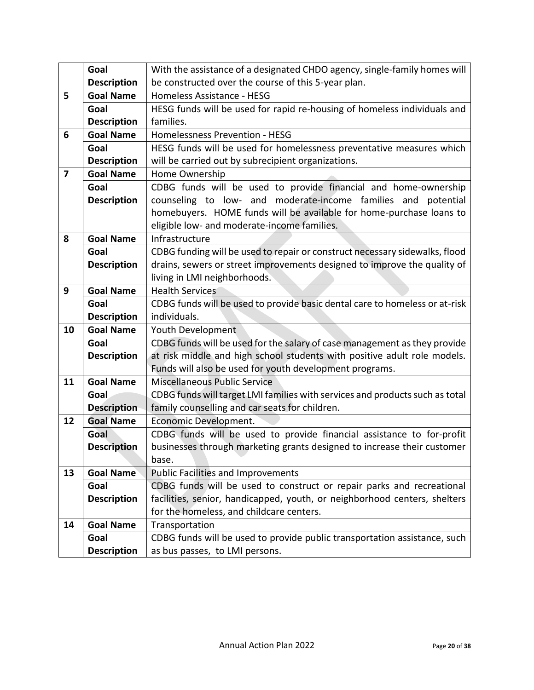|                         | Goal               | With the assistance of a designated CHDO agency, single-family homes will    |  |  |  |  |  |
|-------------------------|--------------------|------------------------------------------------------------------------------|--|--|--|--|--|
|                         | <b>Description</b> | be constructed over the course of this 5-year plan.                          |  |  |  |  |  |
| 5                       | <b>Goal Name</b>   | Homeless Assistance - HESG                                                   |  |  |  |  |  |
|                         | Goal               | HESG funds will be used for rapid re-housing of homeless individuals and     |  |  |  |  |  |
|                         | <b>Description</b> | families.                                                                    |  |  |  |  |  |
| 6                       | <b>Goal Name</b>   | Homelessness Prevention - HESG                                               |  |  |  |  |  |
|                         | Goal               | HESG funds will be used for homelessness preventative measures which         |  |  |  |  |  |
|                         | <b>Description</b> | will be carried out by subrecipient organizations.                           |  |  |  |  |  |
| $\overline{\mathbf{z}}$ | <b>Goal Name</b>   | Home Ownership                                                               |  |  |  |  |  |
|                         | Goal               | CDBG funds will be used to provide financial and home-ownership              |  |  |  |  |  |
|                         | <b>Description</b> | counseling to low- and moderate-income families and potential                |  |  |  |  |  |
|                         |                    | homebuyers. HOME funds will be available for home-purchase loans to          |  |  |  |  |  |
|                         |                    | eligible low- and moderate-income families.                                  |  |  |  |  |  |
| 8                       | <b>Goal Name</b>   | Infrastructure                                                               |  |  |  |  |  |
|                         | Goal               | CDBG funding will be used to repair or construct necessary sidewalks, flood  |  |  |  |  |  |
|                         | <b>Description</b> | drains, sewers or street improvements designed to improve the quality of     |  |  |  |  |  |
|                         |                    | living in LMI neighborhoods.                                                 |  |  |  |  |  |
| 9                       | <b>Goal Name</b>   | <b>Health Services</b>                                                       |  |  |  |  |  |
|                         | Goal               | CDBG funds will be used to provide basic dental care to homeless or at-risk  |  |  |  |  |  |
|                         | <b>Description</b> | individuals.                                                                 |  |  |  |  |  |
| 10                      | <b>Goal Name</b>   | Youth Development                                                            |  |  |  |  |  |
|                         | Goal               | CDBG funds will be used for the salary of case management as they provide    |  |  |  |  |  |
|                         | <b>Description</b> | at risk middle and high school students with positive adult role models.     |  |  |  |  |  |
|                         |                    | Funds will also be used for youth development programs.                      |  |  |  |  |  |
| 11                      | <b>Goal Name</b>   | Miscellaneous Public Service                                                 |  |  |  |  |  |
|                         | Goal               | CDBG funds will target LMI families with services and products such as total |  |  |  |  |  |
|                         | <b>Description</b> | family counselling and car seats for children.                               |  |  |  |  |  |
| 12                      | <b>Goal Name</b>   | Economic Development.                                                        |  |  |  |  |  |
|                         | Goal               | CDBG funds will be used to provide financial assistance to for-profit        |  |  |  |  |  |
|                         | <b>Description</b> | businesses through marketing grants designed to increase their customer      |  |  |  |  |  |
|                         |                    | base.                                                                        |  |  |  |  |  |
| 13                      | <b>Goal Name</b>   | <b>Public Facilities and Improvements</b>                                    |  |  |  |  |  |
|                         | Goal               | CDBG funds will be used to construct or repair parks and recreational        |  |  |  |  |  |
|                         | <b>Description</b> | facilities, senior, handicapped, youth, or neighborhood centers, shelters    |  |  |  |  |  |
|                         |                    | for the homeless, and childcare centers.                                     |  |  |  |  |  |
| 14                      | <b>Goal Name</b>   | Transportation                                                               |  |  |  |  |  |
|                         | Goal               | CDBG funds will be used to provide public transportation assistance, such    |  |  |  |  |  |
|                         | <b>Description</b> | as bus passes, to LMI persons.                                               |  |  |  |  |  |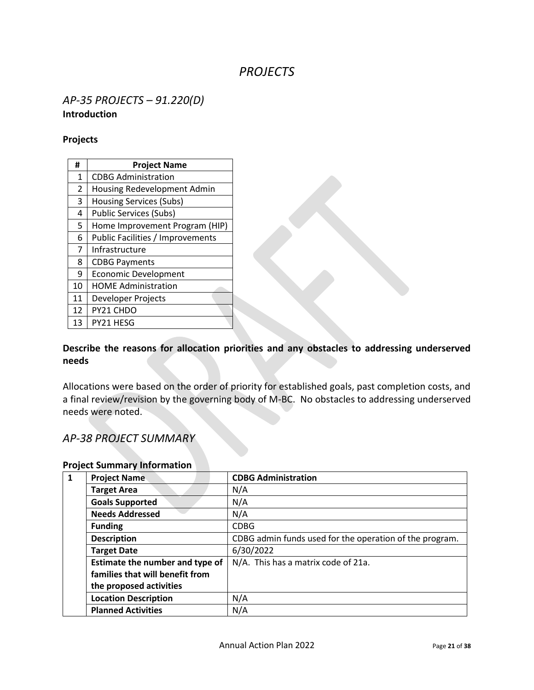# *PROJECTS*

### *AP-35 PROJECTS – 91.220(D)* **Introduction**

#### **Projects**

| #              | <b>Project Name</b>              |
|----------------|----------------------------------|
| 1              | <b>CDBG Administration</b>       |
| $\overline{2}$ | Housing Redevelopment Admin      |
| 3              | <b>Housing Services (Subs)</b>   |
| 4              | <b>Public Services (Subs)</b>    |
| 5              | Home Improvement Program (HIP)   |
| 6              | Public Facilities / Improvements |
| $\overline{7}$ | Infrastructure                   |
| 8              | <b>CDBG Payments</b>             |
| 9              | <b>Economic Development</b>      |
| 10             | <b>HOME Administration</b>       |
| 11             | Developer Projects               |
| 12             | PY21 CHDO                        |
| 13             | PY21 HESG                        |

### **Describe the reasons for allocation priorities and any obstacles to addressing underserved needs**

Allocations were based on the order of priority for established goals, past completion costs, and a final review/revision by the governing body of M-BC. No obstacles to addressing underserved needs were noted.

### *AP-38 PROJECT SUMMARY*

| $\mathbf{1}$ | <b>Project Name</b>             | <b>CDBG Administration</b>                              |
|--------------|---------------------------------|---------------------------------------------------------|
|              | <b>Target Area</b>              | N/A                                                     |
|              | <b>Goals Supported</b>          | N/A                                                     |
|              | <b>Needs Addressed</b>          | N/A                                                     |
|              | <b>Funding</b>                  | <b>CDBG</b>                                             |
|              | <b>Description</b>              | CDBG admin funds used for the operation of the program. |
|              | <b>Target Date</b>              | 6/30/2022                                               |
|              | Estimate the number and type of | N/A. This has a matrix code of 21a.                     |
|              | families that will benefit from |                                                         |
|              | the proposed activities         |                                                         |
|              | <b>Location Description</b>     | N/A                                                     |
|              | <b>Planned Activities</b>       | N/A                                                     |

#### **Project Summary Information**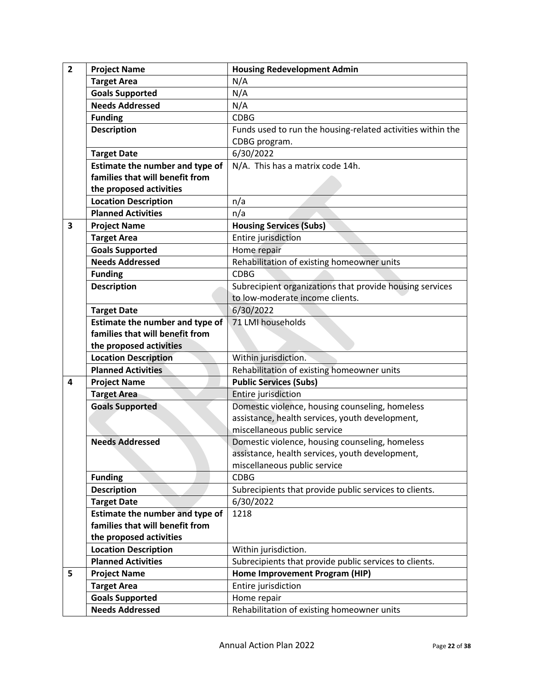| $\overline{2}$ | <b>Project Name</b>             | <b>Housing Redevelopment Admin</b>                          |
|----------------|---------------------------------|-------------------------------------------------------------|
|                | <b>Target Area</b>              | N/A                                                         |
|                | <b>Goals Supported</b>          | N/A                                                         |
|                | <b>Needs Addressed</b>          | N/A                                                         |
|                | <b>Funding</b>                  | <b>CDBG</b>                                                 |
|                | <b>Description</b>              | Funds used to run the housing-related activities within the |
|                |                                 | CDBG program.                                               |
|                | <b>Target Date</b>              | 6/30/2022                                                   |
|                | Estimate the number and type of | N/A. This has a matrix code 14h.                            |
|                | families that will benefit from |                                                             |
|                | the proposed activities         |                                                             |
|                | <b>Location Description</b>     | n/a                                                         |
|                | <b>Planned Activities</b>       | n/a                                                         |
| 3              | <b>Project Name</b>             | <b>Housing Services (Subs)</b>                              |
|                | <b>Target Area</b>              | Entire jurisdiction                                         |
|                | <b>Goals Supported</b>          | Home repair                                                 |
|                | <b>Needs Addressed</b>          | Rehabilitation of existing homeowner units                  |
|                | <b>Funding</b>                  | <b>CDBG</b>                                                 |
|                | <b>Description</b>              | Subrecipient organizations that provide housing services    |
|                |                                 | to low-moderate income clients.                             |
|                | <b>Target Date</b>              | 6/30/2022                                                   |
|                | Estimate the number and type of | 71 LMI households                                           |
|                | families that will benefit from |                                                             |
|                | the proposed activities         |                                                             |
|                | <b>Location Description</b>     | Within jurisdiction.                                        |
|                | <b>Planned Activities</b>       | Rehabilitation of existing homeowner units                  |
| 4              | <b>Project Name</b>             | <b>Public Services (Subs)</b>                               |
|                | <b>Target Area</b>              | Entire jurisdiction                                         |
|                | <b>Goals Supported</b>          | Domestic violence, housing counseling, homeless             |
|                |                                 | assistance, health services, youth development,             |
|                |                                 | miscellaneous public service                                |
|                | <b>Needs Addressed</b>          | Domestic violence, housing counseling, homeless             |
|                |                                 | assistance, health services, youth development,             |
|                |                                 | miscellaneous public service                                |
|                | <b>Funding</b>                  | <b>CDBG</b>                                                 |
|                | <b>Description</b>              | Subrecipients that provide public services to clients.      |
|                | <b>Target Date</b>              | 6/30/2022                                                   |
|                | Estimate the number and type of | 1218                                                        |
|                | families that will benefit from |                                                             |
|                | the proposed activities         |                                                             |
|                | <b>Location Description</b>     | Within jurisdiction.                                        |
|                | <b>Planned Activities</b>       | Subrecipients that provide public services to clients.      |
| 5              | <b>Project Name</b>             | Home Improvement Program (HIP)                              |
|                | <b>Target Area</b>              | Entire jurisdiction                                         |
|                | <b>Goals Supported</b>          | Home repair                                                 |
|                | <b>Needs Addressed</b>          | Rehabilitation of existing homeowner units                  |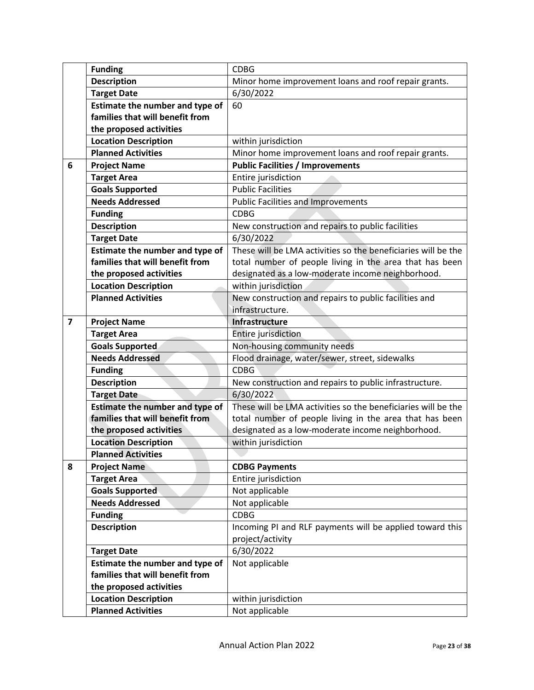|                | <b>Funding</b>                  | <b>CDBG</b>                                                   |
|----------------|---------------------------------|---------------------------------------------------------------|
|                | <b>Description</b>              | Minor home improvement loans and roof repair grants.          |
|                | <b>Target Date</b>              | 6/30/2022                                                     |
|                | Estimate the number and type of | 60                                                            |
|                | families that will benefit from |                                                               |
|                | the proposed activities         |                                                               |
|                | <b>Location Description</b>     | within jurisdiction                                           |
|                | <b>Planned Activities</b>       | Minor home improvement loans and roof repair grants.          |
| 6              | <b>Project Name</b>             | <b>Public Facilities / Improvements</b>                       |
|                | <b>Target Area</b>              | Entire jurisdiction                                           |
|                | <b>Goals Supported</b>          | <b>Public Facilities</b>                                      |
|                | <b>Needs Addressed</b>          | <b>Public Facilities and Improvements</b>                     |
|                | <b>Funding</b>                  | <b>CDBG</b>                                                   |
|                | <b>Description</b>              | New construction and repairs to public facilities             |
|                | <b>Target Date</b>              | 6/30/2022                                                     |
|                | Estimate the number and type of | These will be LMA activities so the beneficiaries will be the |
|                | families that will benefit from | total number of people living in the area that has been       |
|                | the proposed activities         | designated as a low-moderate income neighborhood.             |
|                | <b>Location Description</b>     | within jurisdiction                                           |
|                | <b>Planned Activities</b>       | New construction and repairs to public facilities and         |
|                |                                 | infrastructure.                                               |
| $\overline{7}$ | <b>Project Name</b>             | Infrastructure                                                |
|                | <b>Target Area</b>              | Entire jurisdiction                                           |
|                | <b>Goals Supported</b>          | Non-housing community needs                                   |
|                | <b>Needs Addressed</b>          | Flood drainage, water/sewer, street, sidewalks                |
|                | <b>Funding</b>                  | <b>CDBG</b>                                                   |
|                | <b>Description</b>              | New construction and repairs to public infrastructure.        |
|                | <b>Target Date</b>              | 6/30/2022                                                     |
|                | Estimate the number and type of | These will be LMA activities so the beneficiaries will be the |
|                | families that will benefit from | total number of people living in the area that has been       |
|                | the proposed activities         | designated as a low-moderate income neighborhood.             |
|                | <b>Location Description</b>     | within jurisdiction                                           |
|                | <b>Planned Activities</b>       |                                                               |
| 8              | <b>Project Name</b>             | <b>CDBG Payments</b>                                          |
|                | <b>Target Area</b>              | Entire jurisdiction                                           |
|                | <b>Goals Supported</b>          | Not applicable                                                |
|                | <b>Needs Addressed</b>          | Not applicable                                                |
|                | <b>Funding</b>                  | <b>CDBG</b>                                                   |
|                | <b>Description</b>              | Incoming PI and RLF payments will be applied toward this      |
|                |                                 | project/activity                                              |
|                | <b>Target Date</b>              | 6/30/2022                                                     |
|                | Estimate the number and type of | Not applicable                                                |
|                | families that will benefit from |                                                               |
|                | the proposed activities         |                                                               |
|                | <b>Location Description</b>     | within jurisdiction                                           |
|                | <b>Planned Activities</b>       | Not applicable                                                |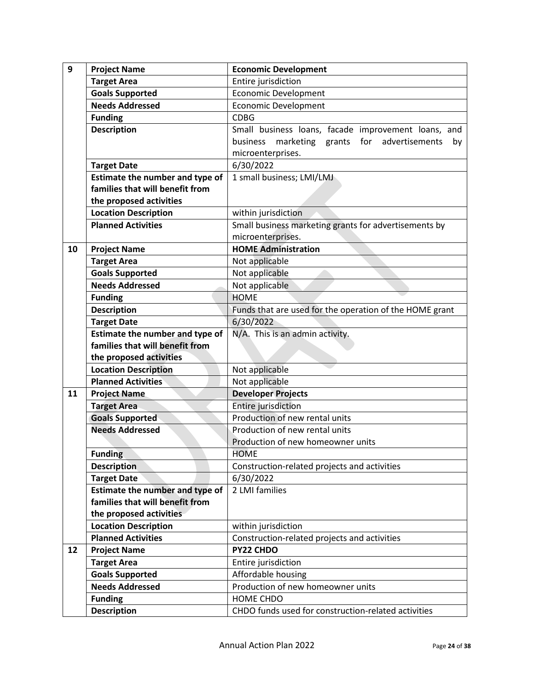| 9  | <b>Project Name</b>                    | <b>Economic Development</b>                             |
|----|----------------------------------------|---------------------------------------------------------|
|    | <b>Target Area</b>                     | Entire jurisdiction                                     |
|    | <b>Goals Supported</b>                 | <b>Economic Development</b>                             |
|    | <b>Needs Addressed</b>                 | <b>Economic Development</b>                             |
|    | <b>Funding</b>                         | <b>CDBG</b>                                             |
|    | <b>Description</b>                     | Small business loans, facade improvement loans, and     |
|    |                                        | marketing grants for advertisements<br>business<br>by   |
|    |                                        | microenterprises.                                       |
|    | <b>Target Date</b>                     | 6/30/2022                                               |
|    | Estimate the number and type of        | 1 small business; LMI/LMJ                               |
|    | families that will benefit from        |                                                         |
|    | the proposed activities                |                                                         |
|    | <b>Location Description</b>            | within jurisdiction                                     |
|    | <b>Planned Activities</b>              | Small business marketing grants for advertisements by   |
|    |                                        | microenterprises.                                       |
| 10 | <b>Project Name</b>                    | <b>HOME Administration</b>                              |
|    | <b>Target Area</b>                     | Not applicable                                          |
|    | <b>Goals Supported</b>                 | Not applicable                                          |
|    | <b>Needs Addressed</b>                 | Not applicable                                          |
|    | <b>Funding</b>                         | <b>HOME</b>                                             |
|    | <b>Description</b>                     | Funds that are used for the operation of the HOME grant |
|    | <b>Target Date</b>                     | 6/30/2022                                               |
|    | Estimate the number and type of        | N/A. This is an admin activity.                         |
|    | families that will benefit from        |                                                         |
|    | the proposed activities                |                                                         |
|    | <b>Location Description</b>            | Not applicable                                          |
|    | <b>Planned Activities</b>              | Not applicable                                          |
| 11 | <b>Project Name</b>                    | <b>Developer Projects</b>                               |
|    | <b>Target Area</b>                     | Entire jurisdiction                                     |
|    | <b>Goals Supported</b>                 | Production of new rental units                          |
|    | <b>Needs Addressed</b>                 | Production of new rental units                          |
|    |                                        | Production of new homeowner units                       |
|    | <b>Funding</b>                         | <b>HOME</b>                                             |
|    | <b>Description</b>                     | Construction-related projects and activities            |
|    | <b>Target Date</b>                     | 6/30/2022                                               |
|    | <b>Estimate the number and type of</b> | 2 LMI families                                          |
|    | families that will benefit from        |                                                         |
|    | the proposed activities                |                                                         |
|    | <b>Location Description</b>            | within jurisdiction                                     |
|    | <b>Planned Activities</b>              | Construction-related projects and activities            |
| 12 | <b>Project Name</b>                    | PY22 CHDO                                               |
|    | <b>Target Area</b>                     | Entire jurisdiction                                     |
|    | <b>Goals Supported</b>                 | Affordable housing                                      |
|    | <b>Needs Addressed</b>                 | Production of new homeowner units                       |
|    | <b>Funding</b>                         | HOME CHDO                                               |
|    | <b>Description</b>                     | CHDO funds used for construction-related activities     |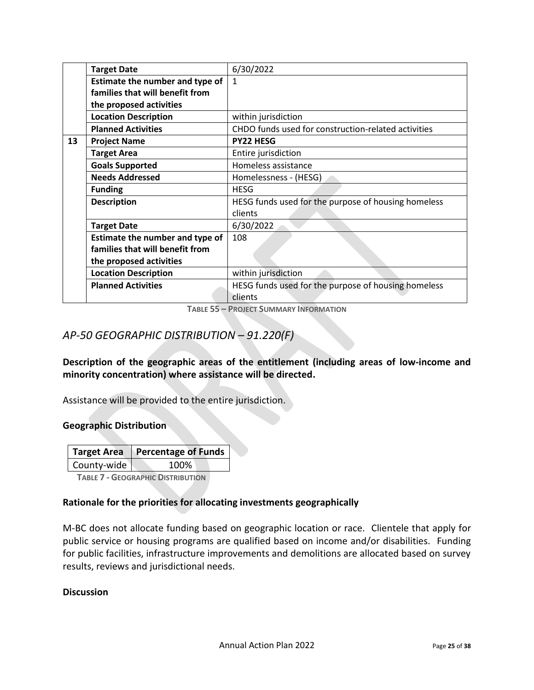|    | <b>Target Date</b>              | 6/30/2022                                           |
|----|---------------------------------|-----------------------------------------------------|
|    | Estimate the number and type of | $\mathbf{1}$                                        |
|    | families that will benefit from |                                                     |
|    | the proposed activities         |                                                     |
|    | <b>Location Description</b>     | within jurisdiction                                 |
|    | <b>Planned Activities</b>       | CHDO funds used for construction-related activities |
| 13 | <b>Project Name</b>             | <b>PY22 HESG</b>                                    |
|    | <b>Target Area</b>              | Entire jurisdiction                                 |
|    | <b>Goals Supported</b>          | Homeless assistance                                 |
|    | <b>Needs Addressed</b>          | Homelessness - (HESG)                               |
|    | <b>Funding</b>                  | <b>HESG</b>                                         |
|    | <b>Description</b>              | HESG funds used for the purpose of housing homeless |
|    |                                 | clients                                             |
|    | <b>Target Date</b>              | 6/30/2022                                           |
|    | Estimate the number and type of | 108                                                 |
|    | families that will benefit from |                                                     |
|    | the proposed activities         |                                                     |
|    | <b>Location Description</b>     | within jurisdiction                                 |
|    | <b>Planned Activities</b>       | HESG funds used for the purpose of housing homeless |
|    |                                 | clients                                             |

**TABLE 55 – PROJECT SUMMARY INFORMATION**

## *AP-50 GEOGRAPHIC DISTRIBUTION – 91.220(F)*

**Description of the geographic areas of the entitlement (including areas of low-income and minority concentration) where assistance will be directed.**

Assistance will be provided to the entire jurisdiction.

#### **Geographic Distribution**

|             | Target Area   Percentage of Funds |
|-------------|-----------------------------------|
| County-wide | 100%                              |
|             |                                   |

 **TABLE 7 - GEOGRAPHIC DISTRIBUTION** 

#### **Rationale for the priorities for allocating investments geographically**

M-BC does not allocate funding based on geographic location or race. Clientele that apply for public service or housing programs are qualified based on income and/or disabilities. Funding for public facilities, infrastructure improvements and demolitions are allocated based on survey results, reviews and jurisdictional needs.

#### **Discussion**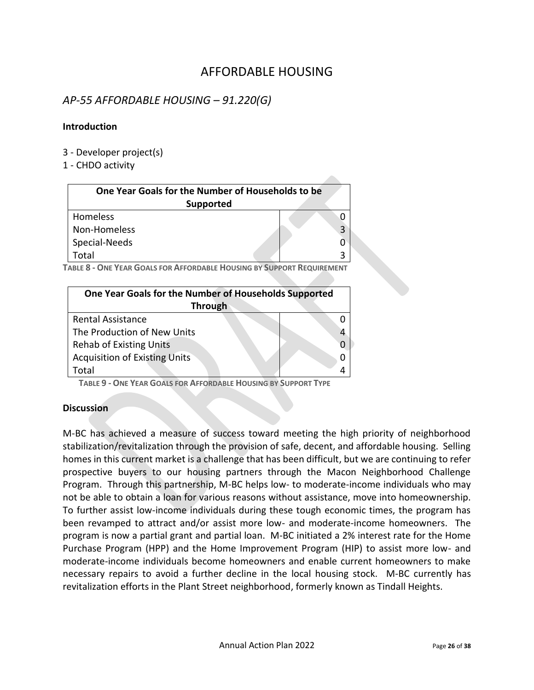# AFFORDABLE HOUSING

### *AP-55 AFFORDABLE HOUSING – 91.220(G)*

#### **Introduction**

- 3 Developer project(s)
- 1 CHDO activity

| One Year Goals for the Number of Households to be<br>Supported |   |
|----------------------------------------------------------------|---|
| <b>Homeless</b>                                                |   |
| Non-Homeless                                                   | 3 |
| Special-Needs                                                  |   |
| Total                                                          |   |

**TABLE 8 - ONE YEAR GOALS FOR AFFORDABLE HOUSING BY SUPPORT REQUIREMENT**

| One Year Goals for the Number of Households Supported |  |
|-------------------------------------------------------|--|
| <b>Through</b>                                        |  |
| <b>Rental Assistance</b>                              |  |
| The Production of New Units                           |  |
| <b>Rehab of Existing Units</b>                        |  |
| <b>Acquisition of Existing Units</b>                  |  |
| Total                                                 |  |

 **TABLE 9 - ONE YEAR GOALS FOR AFFORDABLE HOUSING BY SUPPORT TYPE**

#### **Discussion**

M-BC has achieved a measure of success toward meeting the high priority of neighborhood stabilization/revitalization through the provision of safe, decent, and affordable housing. Selling homes in this current market is a challenge that has been difficult, but we are continuing to refer prospective buyers to our housing partners through the Macon Neighborhood Challenge Program. Through this partnership, M-BC helps low- to moderate-income individuals who may not be able to obtain a loan for various reasons without assistance, move into homeownership. To further assist low-income individuals during these tough economic times, the program has been revamped to attract and/or assist more low- and moderate-income homeowners. The program is now a partial grant and partial loan. M-BC initiated a 2% interest rate for the Home Purchase Program (HPP) and the Home Improvement Program (HIP) to assist more low- and moderate-income individuals become homeowners and enable current homeowners to make necessary repairs to avoid a further decline in the local housing stock. M-BC currently has revitalization efforts in the Plant Street neighborhood, formerly known as Tindall Heights.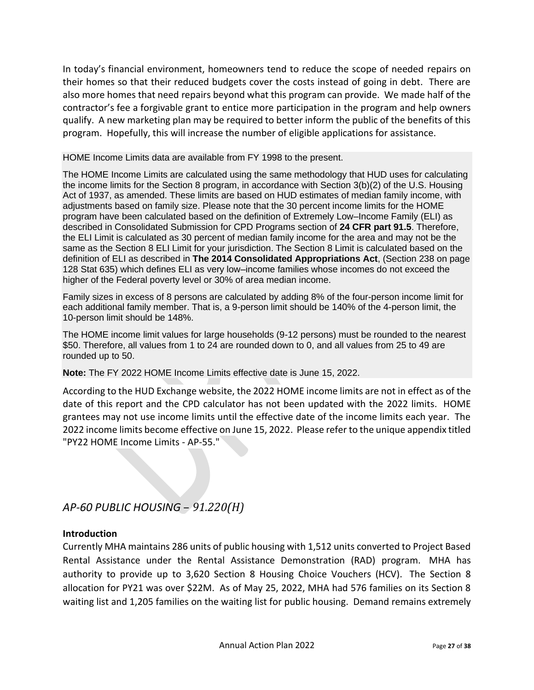In today's financial environment, homeowners tend to reduce the scope of needed repairs on their homes so that their reduced budgets cover the costs instead of going in debt. There are also more homes that need repairs beyond what this program can provide. We made half of the contractor's fee a forgivable grant to entice more participation in the program and help owners qualify. A new marketing plan may be required to better inform the public of the benefits of this program. Hopefully, this will increase the number of eligible applications for assistance.

HOME Income Limits data are available from FY 1998 to the present.

The HOME Income Limits are calculated using the same methodology that HUD uses for calculating the income limits for the Section 8 program, in accordance with Section 3(b)(2) of the U.S. Housing Act of 1937, as amended. These limits are based on HUD estimates of median family income, with adjustments based on family size. Please note that the 30 percent income limits for the HOME program have been calculated based on the definition of Extremely Low–Income Family (ELI) as described in Consolidated Submission for CPD Programs section of **[24 CFR part 91.5](http://www.ecfr.gov/cgi-bin/text-idx?SID=db4979874e99fc35dd4bcfb226513d44&mc=true&node=se24.1.91_15&rgn=div8)**. Therefore, the ELI Limit is calculated as 30 percent of median family income for the area and may not be the same as the Section 8 ELI Limit for your jurisdiction. The Section 8 Limit is calculated based on the definition of ELI as described in **[The 2014 Consolidated Appropriations Act](http://www.gpo.gov/fdsys/pkg/PLAW-113publ76/pdf/PLAW-113publ76.pdf)**, (Section 238 on page 128 Stat 635) which defines ELI as very low–income families whose incomes do not exceed the higher of the Federal poverty level or 30% of area median income.

Family sizes in excess of 8 persons are calculated by adding 8% of the four-person income limit for each additional family member. That is, a 9-person limit should be 140% of the 4-person limit, the 10-person limit should be 148%.

The HOME income limit values for large households (9-12 persons) must be rounded to the nearest \$50. Therefore, all values from 1 to 24 are rounded down to 0, and all values from 25 to 49 are rounded up to 50.

**Note:** The FY 2022 HOME Income Limits effective date is June 15, 2022.

According to the HUD Exchange website, the 2022 HOME income limits are not in effect as of the date of this report and the CPD calculator has not been updated with the 2022 limits. HOME grantees may not use income limits until the effective date of the income limits each year. The 2022 income limits become effective on June 15, 2022. Please refer to the unique appendix titled "PY22 HOME Income Limits - AP-55."

*AP-60 PUBLIC HOUSING* – *91.220(H)*

### **Introduction**

Currently MHA maintains 286 units of public housing with 1,512 units converted to Project Based Rental Assistance under the Rental Assistance Demonstration (RAD) program. MHA has authority to provide up to 3,620 Section 8 Housing Choice Vouchers (HCV). The Section 8 allocation for PY21 was over \$22M. As of May 25, 2022, MHA had 576 families on its Section 8 waiting list and 1,205 families on the waiting list for public housing. Demand remains extremely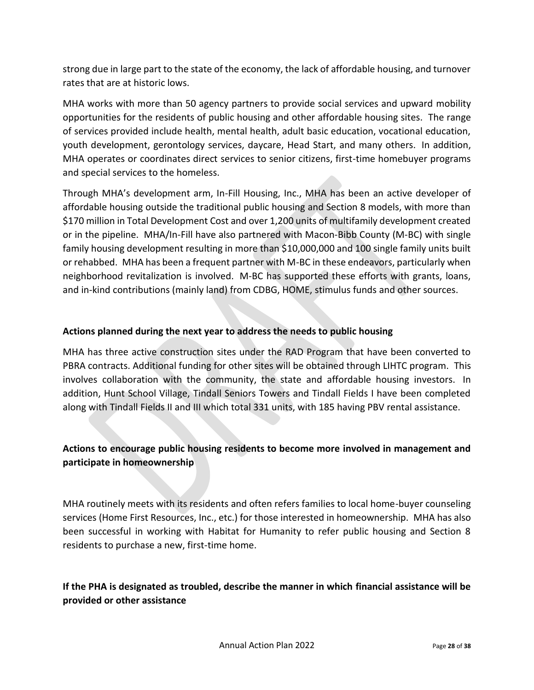strong due in large part to the state of the economy, the lack of affordable housing, and turnover rates that are at historic lows.

MHA works with more than 50 agency partners to provide social services and upward mobility opportunities for the residents of public housing and other affordable housing sites. The range of services provided include health, mental health, adult basic education, vocational education, youth development, gerontology services, daycare, Head Start, and many others. In addition, MHA operates or coordinates direct services to senior citizens, first-time homebuyer programs and special services to the homeless.

Through MHA's development arm, In-Fill Housing, Inc., MHA has been an active developer of affordable housing outside the traditional public housing and Section 8 models, with more than \$170 million in Total Development Cost and over 1,200 units of multifamily development created or in the pipeline. MHA/In-Fill have also partnered with Macon-Bibb County (M-BC) with single family housing development resulting in more than \$10,000,000 and 100 single family units built or rehabbed. MHA has been a frequent partner with M-BC in these endeavors, particularly when neighborhood revitalization is involved. M-BC has supported these efforts with grants, loans, and in-kind contributions (mainly land) from CDBG, HOME, stimulus funds and other sources.

#### **Actions planned during the next year to address the needs to public housing**

MHA has three active construction sites under the RAD Program that have been converted to PBRA contracts. Additional funding for other sites will be obtained through LIHTC program. This involves collaboration with the community, the state and affordable housing investors. In addition, Hunt School Village, Tindall Seniors Towers and Tindall Fields I have been completed along with Tindall Fields II and III which total 331 units, with 185 having PBV rental assistance.

### **Actions to encourage public housing residents to become more involved in management and participate in homeownership**

MHA routinely meets with its residents and often refers families to local home-buyer counseling services (Home First Resources, Inc., etc.) for those interested in homeownership. MHA has also been successful in working with Habitat for Humanity to refer public housing and Section 8 residents to purchase a new, first-time home.

### **If the PHA is designated as troubled, describe the manner in which financial assistance will be provided or other assistance**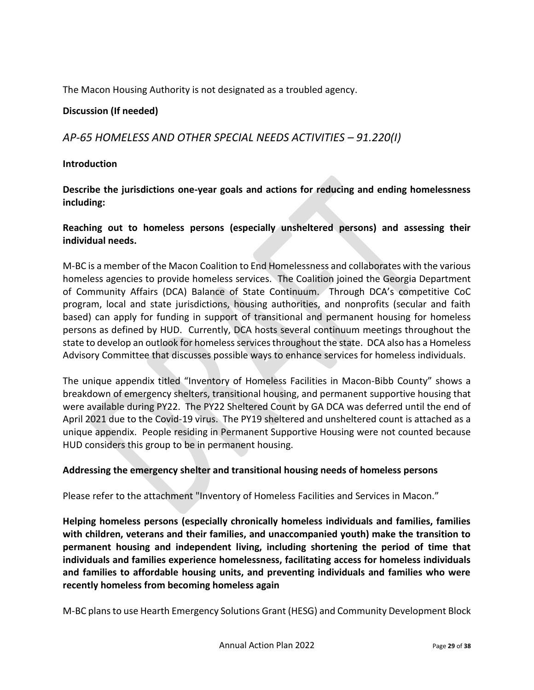The Macon Housing Authority is not designated as a troubled agency.

### **Discussion (If needed)**

### *AP-65 HOMELESS AND OTHER SPECIAL NEEDS ACTIVITIES – 91.220(I)*

#### **Introduction**

**Describe the jurisdictions one-year goals and actions for reducing and ending homelessness including:**

#### **Reaching out to homeless persons (especially unsheltered persons) and assessing their individual needs.**

M-BC is a member of the Macon Coalition to End Homelessness and collaborates with the various homeless agencies to provide homeless services. The Coalition joined the Georgia Department of Community Affairs (DCA) Balance of State Continuum. Through DCA's competitive CoC program, local and state jurisdictions, housing authorities, and nonprofits (secular and faith based) can apply for funding in support of transitional and permanent housing for homeless persons as defined by HUD. Currently, DCA hosts several continuum meetings throughout the state to develop an outlook for homeless services throughout the state. DCA also has a Homeless Advisory Committee that discusses possible ways to enhance services for homeless individuals.

The unique appendix titled "Inventory of Homeless Facilities in Macon-Bibb County" shows a breakdown of emergency shelters, transitional housing, and permanent supportive housing that were available during PY22. The PY22 Sheltered Count by GA DCA was deferred until the end of April 2021 due to the Covid-19 virus. The PY19 sheltered and unsheltered count is attached as a unique appendix. People residing in Permanent Supportive Housing were not counted because HUD considers this group to be in permanent housing.

#### **Addressing the emergency shelter and transitional housing needs of homeless persons**

Please refer to the attachment "Inventory of Homeless Facilities and Services in Macon."

**Helping homeless persons (especially chronically homeless individuals and families, families with children, veterans and their families, and unaccompanied youth) make the transition to permanent housing and independent living, including shortening the period of time that individuals and families experience homelessness, facilitating access for homeless individuals and families to affordable housing units, and preventing individuals and families who were recently homeless from becoming homeless again**

M-BC plans to use Hearth Emergency Solutions Grant (HESG) and Community Development Block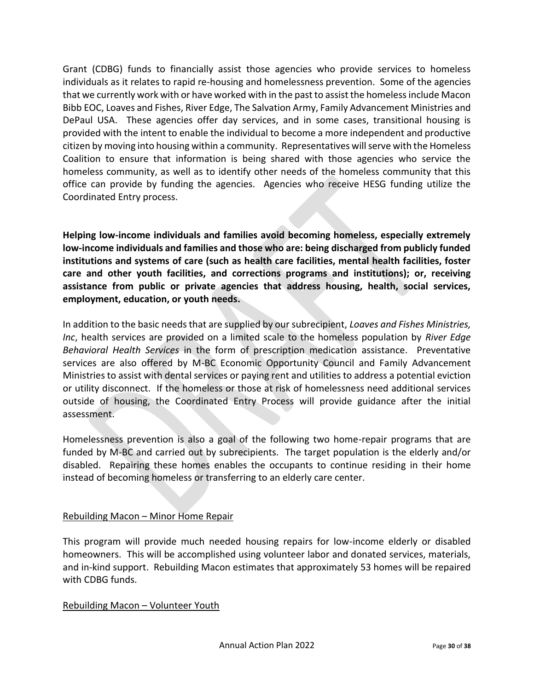Grant (CDBG) funds to financially assist those agencies who provide services to homeless individuals as it relates to rapid re-housing and homelessness prevention. Some of the agencies that we currently work with or have worked with in the past to assist the homeless include Macon Bibb EOC, Loaves and Fishes, River Edge, The Salvation Army, Family Advancement Ministries and DePaul USA. These agencies offer day services, and in some cases, transitional housing is provided with the intent to enable the individual to become a more independent and productive citizen by moving into housing within a community. Representatives will serve with the Homeless Coalition to ensure that information is being shared with those agencies who service the homeless community, as well as to identify other needs of the homeless community that this office can provide by funding the agencies. Agencies who receive HESG funding utilize the Coordinated Entry process.

**Helping low-income individuals and families avoid becoming homeless, especially extremely low-income individuals and families and those who are: being discharged from publicly funded institutions and systems of care (such as health care facilities, mental health facilities, foster care and other youth facilities, and corrections programs and institutions); or, receiving assistance from public or private agencies that address housing, health, social services, employment, education, or youth needs.**

In addition to the basic needs that are supplied by our subrecipient, *Loaves and Fishes Ministries, Inc*, health services are provided on a limited scale to the homeless population by *River Edge Behavioral Health Services* in the form of prescription medication assistance. Preventative services are also offered by M-BC Economic Opportunity Council and Family Advancement Ministries to assist with dental services or paying rent and utilities to address a potential eviction or utility disconnect. If the homeless or those at risk of homelessness need additional services outside of housing, the Coordinated Entry Process will provide guidance after the initial assessment.

Homelessness prevention is also a goal of the following two home-repair programs that are funded by M-BC and carried out by subrecipients. The target population is the elderly and/or disabled. Repairing these homes enables the occupants to continue residing in their home instead of becoming homeless or transferring to an elderly care center.

#### Rebuilding Macon – Minor Home Repair

This program will provide much needed housing repairs for low-income elderly or disabled homeowners. This will be accomplished using volunteer labor and donated services, materials, and in-kind support. Rebuilding Macon estimates that approximately 53 homes will be repaired with CDBG funds.

#### Rebuilding Macon – Volunteer Youth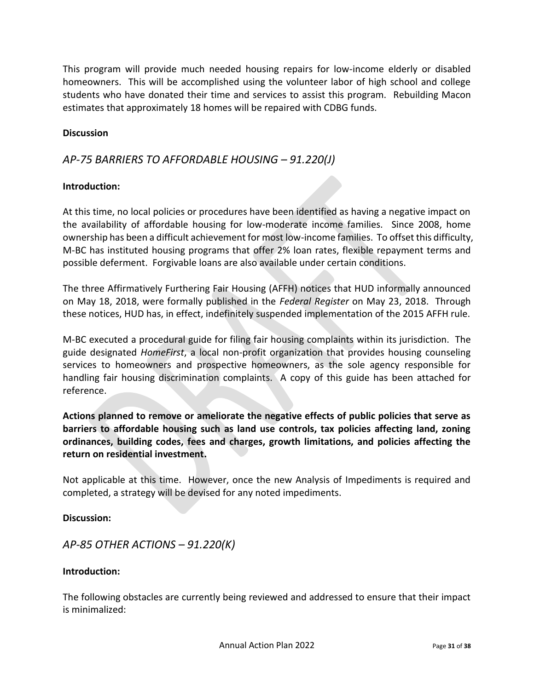This program will provide much needed housing repairs for low-income elderly or disabled homeowners. This will be accomplished using the volunteer labor of high school and college students who have donated their time and services to assist this program. Rebuilding Macon estimates that approximately 18 homes will be repaired with CDBG funds.

#### **Discussion**

### *AP-75 BARRIERS TO AFFORDABLE HOUSING – 91.220(J)*

#### **Introduction:**

At this time, no local policies or procedures have been identified as having a negative impact on the availability of affordable housing for low-moderate income families. Since 2008, home ownership has been a difficult achievement for most low-income families. To offset this difficulty, M-BC has instituted housing programs that offer 2% loan rates, flexible repayment terms and possible deferment. Forgivable loans are also available under certain conditions.

The three Affirmatively Furthering Fair Housing (AFFH) notices that HUD informally announced on May 18, 2018, were formally published in the *Federal Register* on May 23, 2018. Through these notices, HUD has, in effect, indefinitely suspended implementation of the 2015 AFFH rule.

M-BC executed a procedural guide for filing fair housing complaints within its jurisdiction. The guide designated *HomeFirst*, a local non-profit organization that provides housing counseling services to homeowners and prospective homeowners, as the sole agency responsible for handling fair housing discrimination complaints. A copy of this guide has been attached for reference.

**Actions planned to remove or ameliorate the negative effects of public policies that serve as barriers to affordable housing such as land use controls, tax policies affecting land, zoning ordinances, building codes, fees and charges, growth limitations, and policies affecting the return on residential investment.**

Not applicable at this time. However, once the new Analysis of Impediments is required and completed, a strategy will be devised for any noted impediments.

**Discussion:** 

*AP-85 OTHER ACTIONS – 91.220(K)*

#### **Introduction:**

The following obstacles are currently being reviewed and addressed to ensure that their impact is minimalized: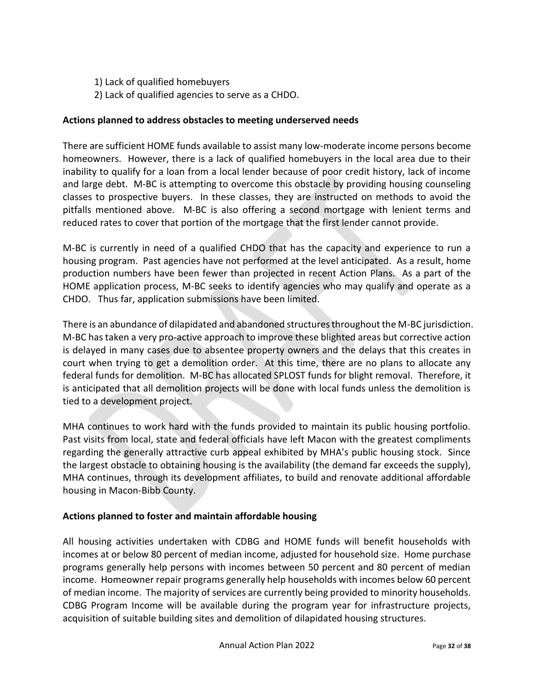1) Lack of qualified homebuyers

2) Lack of qualified agencies to serve as a CHDO.

#### **Actions planned to address obstacles to meeting underserved needs**

There are sufficient HOME funds available to assist many low-moderate income persons become homeowners. However, there is a lack of qualified homebuyers in the local area due to their inability to qualify for a loan from a local lender because of poor credit history, lack of income and large debt. M-BC is attempting to overcome this obstacle by providing housing counseling classes to prospective buyers. In these classes, they are instructed on methods to avoid the pitfalls mentioned above. M-BC is also offering a second mortgage with lenient terms and reduced rates to cover that portion of the mortgage that the first lender cannot provide.

M-BC is currently in need of a qualified CHDO that has the capacity and experience to run a housing program. Past agencies have not performed at the level anticipated. As a result, home production numbers have been fewer than projected in recent Action Plans. As a part of the HOME application process, M-BC seeks to identify agencies who may qualify and operate as a CHDO. Thus far, application submissions have been limited.

There is an abundance of dilapidated and abandoned structures throughout the M-BC jurisdiction. M-BC has taken a very pro-active approach to improve these blighted areas but corrective action is delayed in many cases due to absentee property owners and the delays that this creates in court when trying to get a demolition order. At this time, there are no plans to allocate any federal funds for demolition. M-BC has allocated SPLOST funds for blight removal. Therefore, it is anticipated that all demolition projects will be done with local funds unless the demolition is tied to a development project.

MHA continues to work hard with the funds provided to maintain its public housing portfolio. Past visits from local, state and federal officials have left Macon with the greatest compliments regarding the generally attractive curb appeal exhibited by MHA's public housing stock. Since the largest obstacle to obtaining housing is the availability (the demand far exceeds the supply), MHA continues, through its development affiliates, to build and renovate additional affordable housing in Macon-Bibb County.

### **Actions planned to foster and maintain affordable housing**

All housing activities undertaken with CDBG and HOME funds will benefit households with incomes at or below 80 percent of median income, adjusted for household size. Home purchase programs generally help persons with incomes between 50 percent and 80 percent of median income. Homeowner repair programs generally help households with incomes below 60 percent of median income. The majority of services are currently being provided to minority households. CDBG Program Income will be available during the program year for infrastructure projects, acquisition of suitable building sites and demolition of dilapidated housing structures.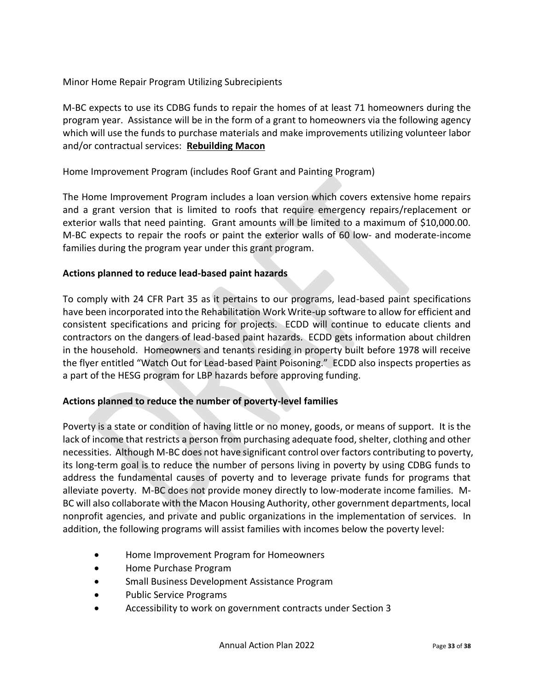Minor Home Repair Program Utilizing Subrecipients

M-BC expects to use its CDBG funds to repair the homes of at least 71 homeowners during the program year. Assistance will be in the form of a grant to homeowners via the following agency which will use the funds to purchase materials and make improvements utilizing volunteer labor and/or contractual services: **Rebuilding Macon**

#### Home Improvement Program (includes Roof Grant and Painting Program)

The Home Improvement Program includes a loan version which covers extensive home repairs and a grant version that is limited to roofs that require emergency repairs/replacement or exterior walls that need painting. Grant amounts will be limited to a maximum of \$10,000.00. M-BC expects to repair the roofs or paint the exterior walls of 60 low- and moderate-income families during the program year under this grant program.

#### **Actions planned to reduce lead-based paint hazards**

To comply with 24 CFR Part 35 as it pertains to our programs, lead-based paint specifications have been incorporated into the Rehabilitation Work Write-up software to allow for efficient and consistent specifications and pricing for projects. ECDD will continue to educate clients and contractors on the dangers of lead-based paint hazards. ECDD gets information about children in the household. Homeowners and tenants residing in property built before 1978 will receive the flyer entitled "Watch Out for Lead-based Paint Poisoning." ECDD also inspects properties as a part of the HESG program for LBP hazards before approving funding.

### **Actions planned to reduce the number of poverty-level families**

Poverty is a state or condition of having little or no money, goods, or means of support. It is the lack of income that restricts a person from purchasing adequate food, shelter, clothing and other necessities. Although M-BC does not have significant control over factors contributing to poverty, its long-term goal is to reduce the number of persons living in poverty by using CDBG funds to address the fundamental causes of poverty and to leverage private funds for programs that alleviate poverty. M-BC does not provide money directly to low-moderate income families. M-BC will also collaborate with the Macon Housing Authority, other government departments, local nonprofit agencies, and private and public organizations in the implementation of services. In addition, the following programs will assist families with incomes below the poverty level:

- Home Improvement Program for Homeowners
- Home Purchase Program
- Small Business Development Assistance Program
- Public Service Programs
- Accessibility to work on government contracts under Section 3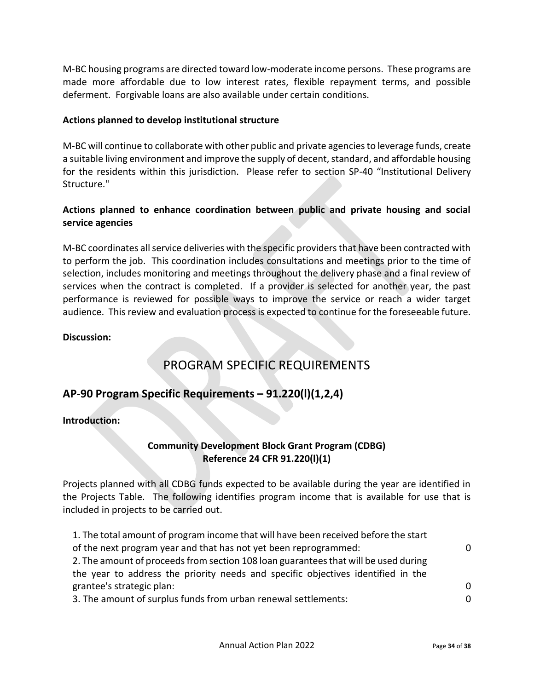M-BC housing programs are directed toward low-moderate income persons. These programs are made more affordable due to low interest rates, flexible repayment terms, and possible deferment. Forgivable loans are also available under certain conditions.

#### **Actions planned to develop institutional structure**

M-BC will continue to collaborate with other public and private agencies to leverage funds, create a suitable living environment and improve the supply of decent, standard, and affordable housing for the residents within this jurisdiction. Please refer to section SP-40 "Institutional Delivery Structure."

### **Actions planned to enhance coordination between public and private housing and social service agencies**

M-BC coordinates all service deliveries with the specific providers that have been contracted with to perform the job. This coordination includes consultations and meetings prior to the time of selection, includes monitoring and meetings throughout the delivery phase and a final review of services when the contract is completed. If a provider is selected for another year, the past performance is reviewed for possible ways to improve the service or reach a wider target audience. This review and evaluation process is expected to continue for the foreseeable future.

#### **Discussion:**

# PROGRAM SPECIFIC REQUIREMENTS

### **AP-90 Program Specific Requirements – 91.220(l)(1,2,4)**

**Introduction:** 

### **Community Development Block Grant Program (CDBG) Reference 24 CFR 91.220(l)(1)**

Projects planned with all CDBG funds expected to be available during the year are identified in the Projects Table. The following identifies program income that is available for use that is included in projects to be carried out.

| 1. The total amount of program income that will have been received before the start |          |
|-------------------------------------------------------------------------------------|----------|
| of the next program year and that has not yet been reprogrammed:                    | $\Omega$ |
| 2. The amount of proceeds from section 108 loan guarantees that will be used during |          |
| the year to address the priority needs and specific objectives identified in the    |          |
| grantee's strategic plan:                                                           | $\Omega$ |
| 3. The amount of surplus funds from urban renewal settlements:                      | $\Omega$ |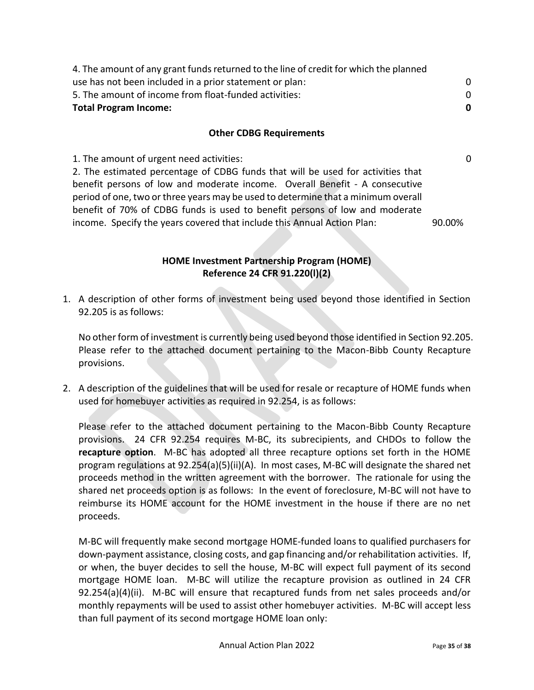| 4. The amount of any grant funds returned to the line of credit for which the planned |   |
|---------------------------------------------------------------------------------------|---|
| use has not been included in a prior statement or plan:                               |   |
| 5. The amount of income from float-funded activities:                                 |   |
| <b>Total Program Income:</b>                                                          | 0 |
|                                                                                       |   |

#### **Other CDBG Requirements**

1. The amount of urgent need activities: 0

2. The estimated percentage of CDBG funds that will be used for activities that benefit persons of low and moderate income. Overall Benefit - A consecutive period of one, two or three years may be used to determine that a minimum overall benefit of 70% of CDBG funds is used to benefit persons of low and moderate income. Specify the years covered that include this Annual Action Plan: 90.00%

> **HOME Investment Partnership Program (HOME) Reference 24 CFR 91.220(l)(2)**

1. A description of other forms of investment being used beyond those identified in Section 92.205 is as follows:

No other form of investment is currently being used beyond those identified in Section 92.205. Please refer to the attached document pertaining to the Macon-Bibb County Recapture provisions.

2. A description of the guidelines that will be used for resale or recapture of HOME funds when used for homebuyer activities as required in 92.254, is as follows:

Please refer to the attached document pertaining to the Macon-Bibb County Recapture provisions. 24 CFR 92.254 requires M-BC, its subrecipients, and CHDOs to follow the **recapture option**. M-BC has adopted all three recapture options set forth in the HOME program regulations at 92.254(a)(5)(ii)(A). In most cases, M-BC will designate the shared net proceeds method in the written agreement with the borrower. The rationale for using the shared net proceeds option is as follows: In the event of foreclosure, M-BC will not have to reimburse its HOME account for the HOME investment in the house if there are no net proceeds.

M-BC will frequently make second mortgage HOME-funded loans to qualified purchasers for down-payment assistance, closing costs, and gap financing and/or rehabilitation activities. If, or when, the buyer decides to sell the house, M-BC will expect full payment of its second mortgage HOME loan. M-BC will utilize the recapture provision as outlined in 24 CFR 92.254(a)(4)(ii). M-BC will ensure that recaptured funds from net sales proceeds and/or monthly repayments will be used to assist other homebuyer activities. M-BC will accept less than full payment of its second mortgage HOME loan only: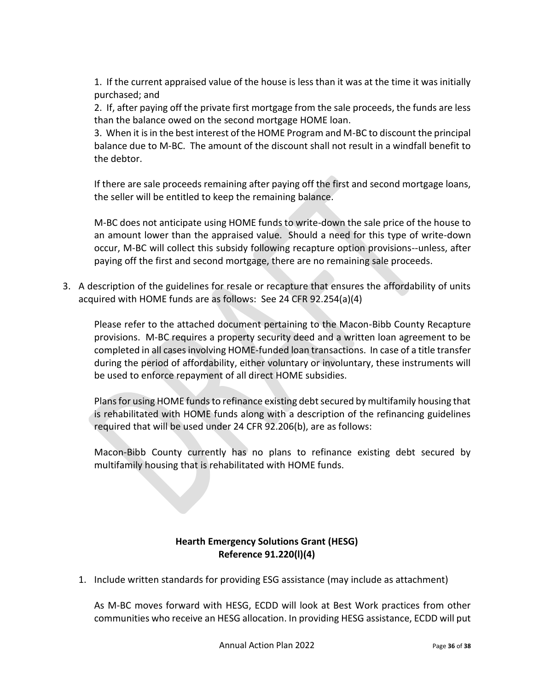1. If the current appraised value of the house is less than it was at the time it was initially purchased; and

2. If, after paying off the private first mortgage from the sale proceeds, the funds are less than the balance owed on the second mortgage HOME loan.

3. When it is in the best interest of the HOME Program and M-BC to discount the principal balance due to M-BC. The amount of the discount shall not result in a windfall benefit to the debtor.

If there are sale proceeds remaining after paying off the first and second mortgage loans, the seller will be entitled to keep the remaining balance.

M-BC does not anticipate using HOME funds to write-down the sale price of the house to an amount lower than the appraised value. Should a need for this type of write-down occur, M-BC will collect this subsidy following recapture option provisions--unless, after paying off the first and second mortgage, there are no remaining sale proceeds.

3. A description of the guidelines for resale or recapture that ensures the affordability of units acquired with HOME funds are as follows: See 24 CFR 92.254(a)(4)

Please refer to the attached document pertaining to the Macon-Bibb County Recapture provisions. M-BC requires a property security deed and a written loan agreement to be completed in all cases involving HOME-funded loan transactions. In case of a title transfer during the period of affordability, either voluntary or involuntary, these instruments will be used to enforce repayment of all direct HOME subsidies.

Plans for using HOME funds to refinance existing debt secured by multifamily housing that is rehabilitated with HOME funds along with a description of the refinancing guidelines required that will be used under 24 CFR 92.206(b), are as follows:

Macon-Bibb County currently has no plans to refinance existing debt secured by multifamily housing that is rehabilitated with HOME funds.

### **Hearth Emergency Solutions Grant (HESG) Reference 91.220(l)(4)**

1. Include written standards for providing ESG assistance (may include as attachment)

As M-BC moves forward with HESG, ECDD will look at Best Work practices from other communities who receive an HESG allocation. In providing HESG assistance, ECDD will put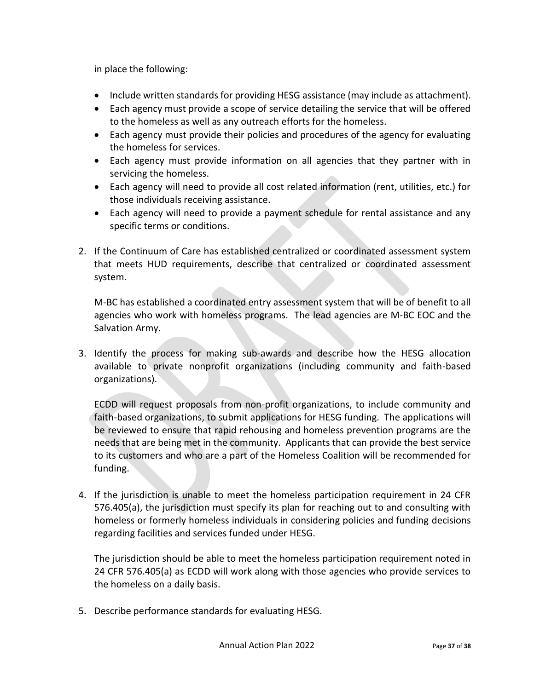in place the following:

- Include written standards for providing HESG assistance (may include as attachment).
- Each agency must provide a scope of service detailing the service that will be offered to the homeless as well as any outreach efforts for the homeless.
- Each agency must provide their policies and procedures of the agency for evaluating the homeless for services.
- Each agency must provide information on all agencies that they partner with in servicing the homeless.
- Each agency will need to provide all cost related information (rent, utilities, etc.) for those individuals receiving assistance.
- Each agency will need to provide a payment schedule for rental assistance and any specific terms or conditions.
- 2. If the Continuum of Care has established centralized or coordinated assessment system that meets HUD requirements, describe that centralized or coordinated assessment system.

M-BC has established a coordinated entry assessment system that will be of benefit to all agencies who work with homeless programs. The lead agencies are M-BC EOC and the Salvation Army.

3. Identify the process for making sub-awards and describe how the HESG allocation available to private nonprofit organizations (including community and faith-based organizations).

ECDD will request proposals from non-profit organizations, to include community and faith-based organizations, to submit applications for HESG funding. The applications will be reviewed to ensure that rapid rehousing and homeless prevention programs are the needs that are being met in the community. Applicants that can provide the best service to its customers and who are a part of the Homeless Coalition will be recommended for funding.

4. If the jurisdiction is unable to meet the homeless participation requirement in 24 CFR 576.405(a), the jurisdiction must specify its plan for reaching out to and consulting with homeless or formerly homeless individuals in considering policies and funding decisions regarding facilities and services funded under HESG.

The jurisdiction should be able to meet the homeless participation requirement noted in 24 CFR 576.405(a) as ECDD will work along with those agencies who provide services to the homeless on a daily basis.

5. Describe performance standards for evaluating HESG.